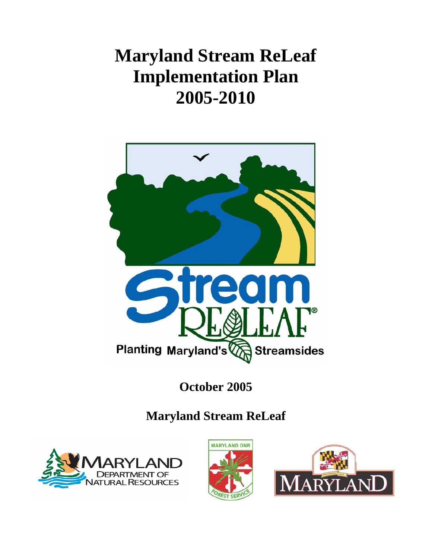# **Maryland Stream ReLeaf Implementation Plan 2005-2010**



# **October 2005**

# **Maryland Stream ReLeaf**





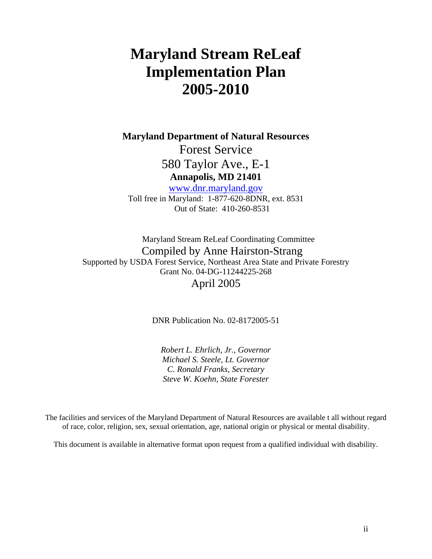# **Maryland Stream ReLeaf Implementation Plan 2005-2010**

**Maryland Department of Natural Resources** 

Forest Service 580 Taylor Ave., E-1 **Annapolis, MD 21401** 

www.dnr.maryland.gov Toll free in Maryland: 1-877-620-8DNR, ext. 8531 Out of State: 410-260-8531

Maryland Stream ReLeaf Coordinating Committee Compiled by Anne Hairston-Strang Supported by USDA Forest Service, Northeast Area State and Private Forestry Grant No. 04-DG-11244225-268 April 2005

DNR Publication No. 02-8172005-51

*Robert L. Ehrlich, Jr., Governor Michael S. Steele, Lt. Governor C. Ronald Franks, Secretary Steve W. Koehn, State Forester* 

The facilities and services of the Maryland Department of Natural Resources are available t all without regard of race, color, religion, sex, sexual orientation, age, national origin or physical or mental disability.

This document is available in alternative format upon request from a qualified individual with disability.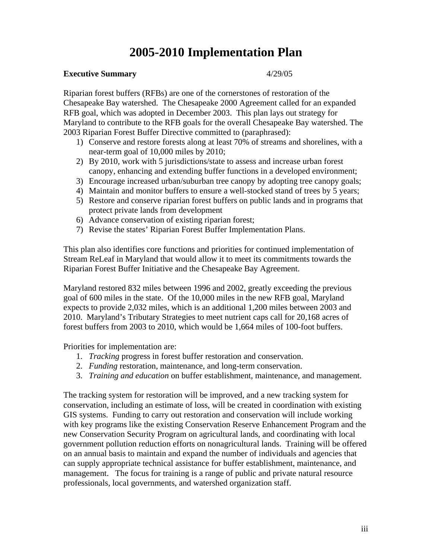# **2005-2010 Implementation Plan**

#### **Executive Summary** 4/29/05

Riparian forest buffers (RFBs) are one of the cornerstones of restoration of the Chesapeake Bay watershed. The Chesapeake 2000 Agreement called for an expanded RFB goal, which was adopted in December 2003. This plan lays out strategy for Maryland to contribute to the RFB goals for the overall Chesapeake Bay watershed. The 2003 Riparian Forest Buffer Directive committed to (paraphrased):

- 1) Conserve and restore forests along at least 70% of streams and shorelines, with a near-term goal of 10,000 miles by 2010;
- 2) By 2010, work with 5 jurisdictions/state to assess and increase urban forest canopy, enhancing and extending buffer functions in a developed environment;
- 3) Encourage increased urban/suburban tree canopy by adopting tree canopy goals;
- 4) Maintain and monitor buffers to ensure a well-stocked stand of trees by 5 years;
- 5) Restore and conserve riparian forest buffers on public lands and in programs that protect private lands from development
- 6) Advance conservation of existing riparian forest;
- 7) Revise the states' Riparian Forest Buffer Implementation Plans.

This plan also identifies core functions and priorities for continued implementation of Stream ReLeaf in Maryland that would allow it to meet its commitments towards the Riparian Forest Buffer Initiative and the Chesapeake Bay Agreement.

Maryland restored 832 miles between 1996 and 2002, greatly exceeding the previous goal of 600 miles in the state. Of the 10,000 miles in the new RFB goal, Maryland expects to provide 2,032 miles, which is an additional 1,200 miles between 2003 and 2010. Maryland's Tributary Strategies to meet nutrient caps call for 20,168 acres of forest buffers from 2003 to 2010, which would be 1,664 miles of 100-foot buffers.

Priorities for implementation are:

- 1. *Tracking* progress in forest buffer restoration and conservation.
- 2. *Funding* restoration, maintenance, and long-term conservation.
- 3. *Training and education* on buffer establishment, maintenance, and management.

The tracking system for restoration will be improved, and a new tracking system for conservation, including an estimate of loss, will be created in coordination with existing GIS systems. Funding to carry out restoration and conservation will include working with key programs like the existing Conservation Reserve Enhancement Program and the new Conservation Security Program on agricultural lands, and coordinating with local government pollution reduction efforts on nonagricultural lands. Training will be offered on an annual basis to maintain and expand the number of individuals and agencies that can supply appropriate technical assistance for buffer establishment, maintenance, and management. The focus for training is a range of public and private natural resource professionals, local governments, and watershed organization staff.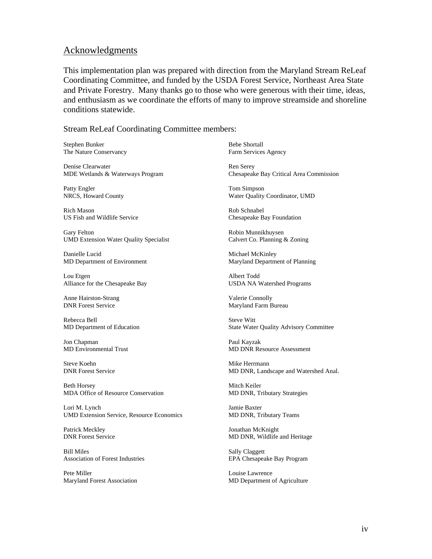#### Acknowledgments

This implementation plan was prepared with direction from the Maryland Stream ReLeaf Coordinating Committee, and funded by the USDA Forest Service, Northeast Area State and Private Forestry. Many thanks go to those who were generous with their time, ideas, and enthusiasm as we coordinate the efforts of many to improve streamside and shoreline conditions statewide.

Stream ReLeaf Coordinating Committee members:

Stephen Bunker The Nature Conservancy

Denise Clearwater MDE Wetlands & Waterways Program

Patty Engler NRCS, Howard County

Rich Mason US Fish and Wildlife Service

Gary Felton UMD Extension Water Quality Specialist

Danielle Lucid MD Department of Environment

Lou Etgen Alliance for the Chesapeake Bay

Anne Hairston-Strang DNR Forest Service

Rebecca Bell MD Department of Education

Jon Chapman MD Environmental Trust

Steve Koehn DNR Forest Service

Beth Horsey MDA Office of Resource Conservation

Lori M. Lynch UMD Extension Service, Resource Economics

Patrick Meckley DNR Forest Service

Bill Miles Association of Forest Industries

Pete Miller Maryland Forest Association

Bebe Shortall Farm Services Agency

Ren Serey Chesapeake Bay Critical Area Commission

Tom Simpson Water Quality Coordinator, UMD

Rob Schnabel Chesapeake Bay Foundation

Robin Munnikhuysen Calvert Co. Planning & Zoning

Michael McKinley Maryland Department of Planning

Albert Todd USDA NA Watershed Programs

Valerie Connolly Maryland Farm Bureau

Steve Witt State Water Quality Advisory Committee

Paul Kayzak MD DNR Resource Assessment

Mike Herrmann MD DNR, Landscape and Watershed Anal.

Mitch Keiler MD DNR, Tributary Strategies

Jamie Baxter MD DNR, Tributary Teams

Jonathan McKnight MD DNR, Wildlife and Heritage

Sally Claggett EPA Chesapeake Bay Program

Louise Lawrence MD Department of Agriculture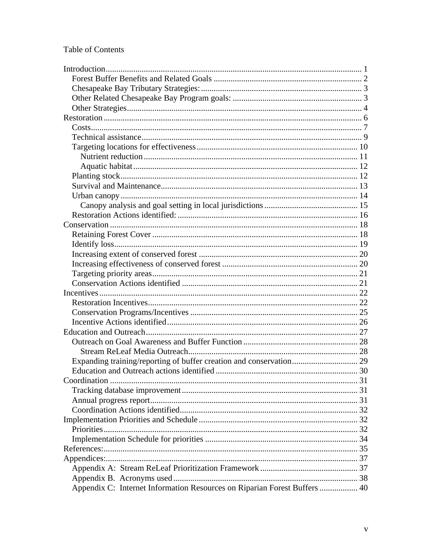#### Table of Contents

| Appendix C: Internet Information Resources on Riparian Forest Buffers  40 |  |
|---------------------------------------------------------------------------|--|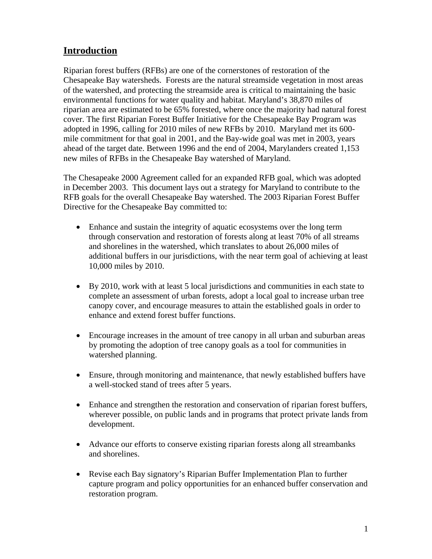# **Introduction**

Riparian forest buffers (RFBs) are one of the cornerstones of restoration of the Chesapeake Bay watersheds. Forests are the natural streamside vegetation in most areas of the watershed, and protecting the streamside area is critical to maintaining the basic environmental functions for water quality and habitat. Maryland's 38,870 miles of riparian area are estimated to be 65% forested, where once the majority had natural forest cover. The first Riparian Forest Buffer Initiative for the Chesapeake Bay Program was adopted in 1996, calling for 2010 miles of new RFBs by 2010. Maryland met its 600 mile commitment for that goal in 2001, and the Bay-wide goal was met in 2003, years ahead of the target date. Between 1996 and the end of 2004, Marylanders created 1,153 new miles of RFBs in the Chesapeake Bay watershed of Maryland.

The Chesapeake 2000 Agreement called for an expanded RFB goal, which was adopted in December 2003. This document lays out a strategy for Maryland to contribute to the RFB goals for the overall Chesapeake Bay watershed. The 2003 Riparian Forest Buffer Directive for the Chesapeake Bay committed to:

- Enhance and sustain the integrity of aquatic ecosystems over the long term through conservation and restoration of forests along at least 70% of all streams and shorelines in the watershed, which translates to about 26,000 miles of additional buffers in our jurisdictions, with the near term goal of achieving at least 10,000 miles by 2010.
- By 2010, work with at least 5 local jurisdictions and communities in each state to complete an assessment of urban forests, adopt a local goal to increase urban tree canopy cover, and encourage measures to attain the established goals in order to enhance and extend forest buffer functions.
- Encourage increases in the amount of tree canopy in all urban and suburban areas by promoting the adoption of tree canopy goals as a tool for communities in watershed planning.
- Ensure, through monitoring and maintenance, that newly established buffers have a well-stocked stand of trees after 5 years.
- Enhance and strengthen the restoration and conservation of riparian forest buffers, wherever possible, on public lands and in programs that protect private lands from development.
- Advance our efforts to conserve existing riparian forests along all streambanks and shorelines.
- Revise each Bay signatory's Riparian Buffer Implementation Plan to further capture program and policy opportunities for an enhanced buffer conservation and restoration program.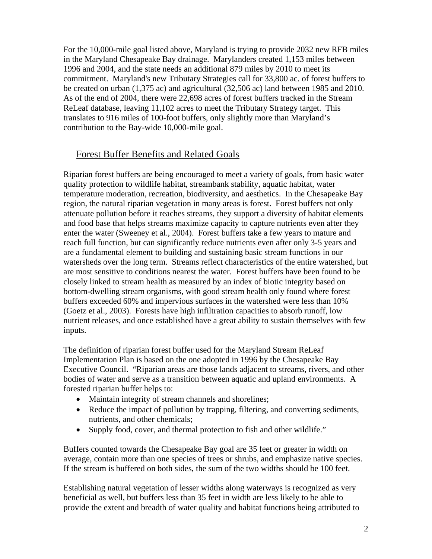For the 10,000-mile goal listed above, Maryland is trying to provide 2032 new RFB miles in the Maryland Chesapeake Bay drainage. Marylanders created 1,153 miles between 1996 and 2004, and the state needs an additional 879 miles by 2010 to meet its commitment. Maryland's new Tributary Strategies call for 33,800 ac. of forest buffers to be created on urban (1,375 ac) and agricultural (32,506 ac) land between 1985 and 2010. As of the end of 2004, there were 22,698 acres of forest buffers tracked in the Stream ReLeaf database, leaving 11,102 acres to meet the Tributary Strategy target. This translates to 916 miles of 100-foot buffers, only slightly more than Maryland's contribution to the Bay-wide 10,000-mile goal.

# Forest Buffer Benefits and Related Goals

Riparian forest buffers are being encouraged to meet a variety of goals, from basic water quality protection to wildlife habitat, streambank stability, aquatic habitat, water temperature moderation, recreation, biodiversity, and aesthetics. In the Chesapeake Bay region, the natural riparian vegetation in many areas is forest. Forest buffers not only attenuate pollution before it reaches streams, they support a diversity of habitat elements and food base that helps streams maximize capacity to capture nutrients even after they enter the water (Sweeney et al., 2004). Forest buffers take a few years to mature and reach full function, but can significantly reduce nutrients even after only 3-5 years and are a fundamental element to building and sustaining basic stream functions in our watersheds over the long term. Streams reflect characteristics of the entire watershed, but are most sensitive to conditions nearest the water. Forest buffers have been found to be closely linked to stream health as measured by an index of biotic integrity based on bottom-dwelling stream organisms, with good stream health only found where forest buffers exceeded 60% and impervious surfaces in the watershed were less than 10% (Goetz et al., 2003). Forests have high infiltration capacities to absorb runoff, low nutrient releases, and once established have a great ability to sustain themselves with few inputs.

The definition of riparian forest buffer used for the Maryland Stream ReLeaf Implementation Plan is based on the one adopted in 1996 by the Chesapeake Bay Executive Council. "Riparian areas are those lands adjacent to streams, rivers, and other bodies of water and serve as a transition between aquatic and upland environments. A forested riparian buffer helps to:

- Maintain integrity of stream channels and shorelines;
- Reduce the impact of pollution by trapping, filtering, and converting sediments, nutrients, and other chemicals;
- Supply food, cover, and thermal protection to fish and other wildlife."

Buffers counted towards the Chesapeake Bay goal are 35 feet or greater in width on average, contain more than one species of trees or shrubs, and emphasize native species. If the stream is buffered on both sides, the sum of the two widths should be 100 feet.

Establishing natural vegetation of lesser widths along waterways is recognized as very beneficial as well, but buffers less than 35 feet in width are less likely to be able to provide the extent and breadth of water quality and habitat functions being attributed to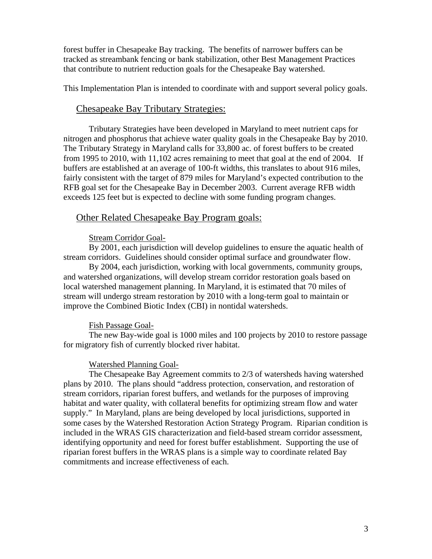forest buffer in Chesapeake Bay tracking. The benefits of narrower buffers can be tracked as streambank fencing or bank stabilization, other Best Management Practices that contribute to nutrient reduction goals for the Chesapeake Bay watershed.

This Implementation Plan is intended to coordinate with and support several policy goals.

#### Chesapeake Bay Tributary Strategies:

Tributary Strategies have been developed in Maryland to meet nutrient caps for nitrogen and phosphorus that achieve water quality goals in the Chesapeake Bay by 2010. The Tributary Strategy in Maryland calls for 33,800 ac. of forest buffers to be created from 1995 to 2010, with 11,102 acres remaining to meet that goal at the end of 2004. If buffers are established at an average of 100-ft widths, this translates to about 916 miles, fairly consistent with the target of 879 miles for Maryland's expected contribution to the RFB goal set for the Chesapeake Bay in December 2003. Current average RFB width exceeds 125 feet but is expected to decline with some funding program changes.

#### Other Related Chesapeake Bay Program goals:

#### Stream Corridor Goal-

By 2001, each jurisdiction will develop guidelines to ensure the aquatic health of stream corridors. Guidelines should consider optimal surface and groundwater flow.

By 2004, each jurisdiction, working with local governments, community groups, and watershed organizations, will develop stream corridor restoration goals based on local watershed management planning. In Maryland, it is estimated that 70 miles of stream will undergo stream restoration by 2010 with a long-term goal to maintain or improve the Combined Biotic Index (CBI) in nontidal watersheds.

#### Fish Passage Goal-

The new Bay-wide goal is 1000 miles and 100 projects by 2010 to restore passage for migratory fish of currently blocked river habitat.

#### Watershed Planning Goal-

The Chesapeake Bay Agreement commits to 2/3 of watersheds having watershed plans by 2010. The plans should "address protection, conservation, and restoration of stream corridors, riparian forest buffers, and wetlands for the purposes of improving habitat and water quality, with collateral benefits for optimizing stream flow and water supply." In Maryland, plans are being developed by local jurisdictions, supported in some cases by the Watershed Restoration Action Strategy Program. Riparian condition is included in the WRAS GIS characterization and field-based stream corridor assessment, identifying opportunity and need for forest buffer establishment. Supporting the use of riparian forest buffers in the WRAS plans is a simple way to coordinate related Bay commitments and increase effectiveness of each.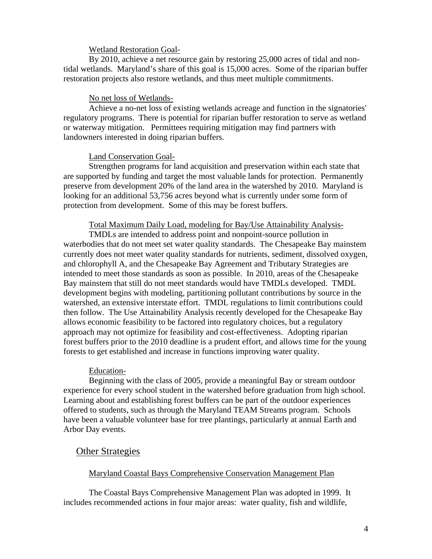#### Wetland Restoration Goal-

By 2010, achieve a net resource gain by restoring 25,000 acres of tidal and nontidal wetlands. Maryland's share of this goal is 15,000 acres. Some of the riparian buffer restoration projects also restore wetlands, and thus meet multiple commitments.

#### No net loss of Wetlands-

Achieve a no-net loss of existing wetlands acreage and function in the signatories' regulatory programs. There is potential for riparian buffer restoration to serve as wetland or waterway mitigation. Permittees requiring mitigation may find partners with landowners interested in doing riparian buffers.

#### Land Conservation Goal-

Strengthen programs for land acquisition and preservation within each state that are supported by funding and target the most valuable lands for protection. Permanently preserve from development 20% of the land area in the watershed by 2010. Maryland is looking for an additional 53,756 acres beyond what is currently under some form of protection from development. Some of this may be forest buffers.

#### Total Maximum Daily Load, modeling for Bay/Use Attainability Analysis-

TMDLs are intended to address point and nonpoint-source pollution in waterbodies that do not meet set water quality standards. The Chesapeake Bay mainstem currently does not meet water quality standards for nutrients, sediment, dissolved oxygen, and chlorophyll A, and the Chesapeake Bay Agreement and Tributary Strategies are intended to meet those standards as soon as possible. In 2010, areas of the Chesapeake Bay mainstem that still do not meet standards would have TMDLs developed. TMDL development begins with modeling, partitioning pollutant contributions by source in the watershed, an extensive interstate effort. TMDL regulations to limit contributions could then follow. The Use Attainability Analysis recently developed for the Chesapeake Bay allows economic feasibility to be factored into regulatory choices, but a regulatory approach may not optimize for feasibility and cost-effectiveness. Adopting riparian forest buffers prior to the 2010 deadline is a prudent effort, and allows time for the young forests to get established and increase in functions improving water quality.

#### Education-

Beginning with the class of 2005, provide a meaningful Bay or stream outdoor experience for every school student in the watershed before graduation from high school. Learning about and establishing forest buffers can be part of the outdoor experiences offered to students, such as through the Maryland TEAM Streams program. Schools have been a valuable volunteer base for tree plantings, particularly at annual Earth and Arbor Day events.

#### **Other Strategies**

#### Maryland Coastal Bays Comprehensive Conservation Management Plan

The Coastal Bays Comprehensive Management Plan was adopted in 1999. It includes recommended actions in four major areas: water quality, fish and wildlife,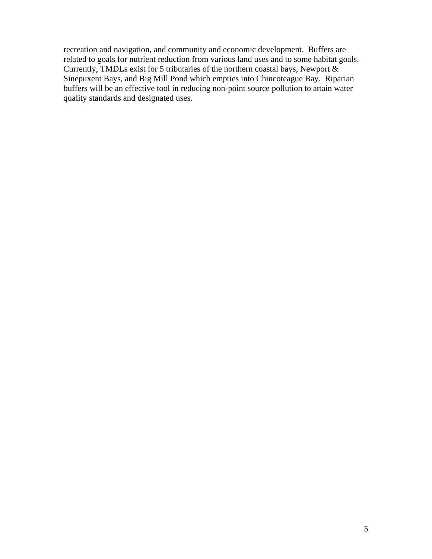recreation and navigation, and community and economic development. Buffers are related to goals for nutrient reduction from various land uses and to some habitat goals. Currently, TMDLs exist for 5 tributaries of the northern coastal bays, Newport & Sinepuxent Bays, and Big Mill Pond which empties into Chincoteague Bay. Riparian buffers will be an effective tool in reducing non-point source pollution to attain water quality standards and designated uses.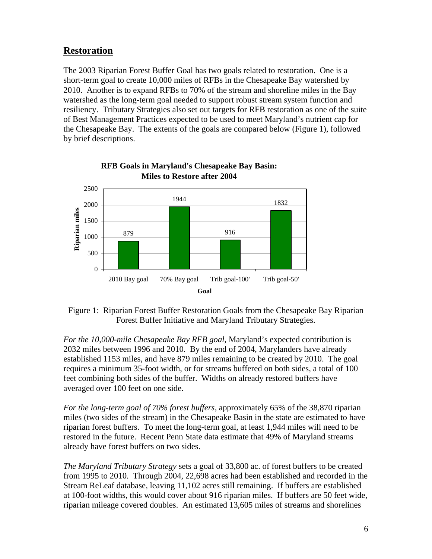# **Restoration**

The 2003 Riparian Forest Buffer Goal has two goals related to restoration. One is a short-term goal to create 10,000 miles of RFBs in the Chesapeake Bay watershed by 2010. Another is to expand RFBs to 70% of the stream and shoreline miles in the Bay watershed as the long-term goal needed to support robust stream system function and resiliency. Tributary Strategies also set out targets for RFB restoration as one of the suite of Best Management Practices expected to be used to meet Maryland's nutrient cap for the Chesapeake Bay. The extents of the goals are compared below (Figure 1), followed by brief descriptions.



# **RFB Goals in Maryland's Chesapeake Bay Basin: Miles to Restore after 2004**

 Figure 1: Riparian Forest Buffer Restoration Goals from the Chesapeake Bay Riparian Forest Buffer Initiative and Maryland Tributary Strategies.

*For the 10,000-mile Chesapeake Bay RFB goal*, Maryland's expected contribution is 2032 miles between 1996 and 2010. By the end of 2004, Marylanders have already established 1153 miles, and have 879 miles remaining to be created by 2010. The goal requires a minimum 35-foot width, or for streams buffered on both sides, a total of 100 feet combining both sides of the buffer. Widths on already restored buffers have averaged over 100 feet on one side.

*For the long-term goal of 70% forest buffers*, approximately 65% of the 38,870 riparian miles (two sides of the stream) in the Chesapeake Basin in the state are estimated to have riparian forest buffers. To meet the long-term goal, at least 1,944 miles will need to be restored in the future. Recent Penn State data estimate that 49% of Maryland streams already have forest buffers on two sides.

*The Maryland Tributary Strategy* sets a goal of 33,800 ac. of forest buffers to be created from 1995 to 2010. Through 2004, 22,698 acres had been established and recorded in the Stream ReLeaf database, leaving 11,102 acres still remaining. If buffers are established at 100-foot widths, this would cover about 916 riparian miles. If buffers are 50 feet wide, riparian mileage covered doubles. An estimated 13,605 miles of streams and shorelines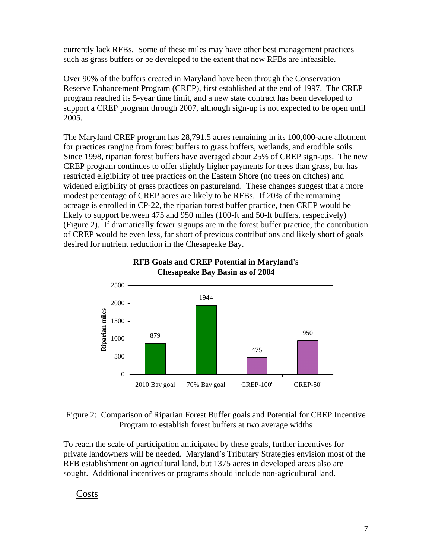currently lack RFBs. Some of these miles may have other best management practices such as grass buffers or be developed to the extent that new RFBs are infeasible.

Over 90% of the buffers created in Maryland have been through the Conservation Reserve Enhancement Program (CREP), first established at the end of 1997. The CREP program reached its 5-year time limit, and a new state contract has been developed to support a CREP program through 2007, although sign-up is not expected to be open until 2005.

The Maryland CREP program has 28,791.5 acres remaining in its 100,000-acre allotment for practices ranging from forest buffers to grass buffers, wetlands, and erodible soils. Since 1998, riparian forest buffers have averaged about 25% of CREP sign-ups. The new CREP program continues to offer slightly higher payments for trees than grass, but has restricted eligibility of tree practices on the Eastern Shore (no trees on ditches) and widened eligibility of grass practices on pastureland. These changes suggest that a more modest percentage of CREP acres are likely to be RFBs. If 20% of the remaining acreage is enrolled in CP-22, the riparian forest buffer practice, then CREP would be likely to support between 475 and 950 miles (100-ft and 50-ft buffers, respectively) (Figure 2). If dramatically fewer signups are in the forest buffer practice, the contribution of CREP would be even less, far short of previous contributions and likely short of goals desired for nutrient reduction in the Chesapeake Bay.



#### **RFB Goals and CREP Potential in Maryland's Chesapeake Bay Basin as of 2004**

#### Figure 2: Comparison of Riparian Forest Buffer goals and Potential for CREP Incentive Program to establish forest buffers at two average widths

To reach the scale of participation anticipated by these goals, further incentives for private landowners will be needed. Maryland's Tributary Strategies envision most of the RFB establishment on agricultural land, but 1375 acres in developed areas also are sought. Additional incentives or programs should include non-agricultural land.

Costs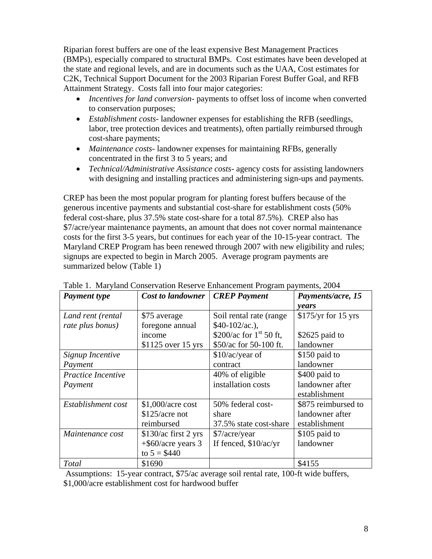Riparian forest buffers are one of the least expensive Best Management Practices (BMPs), especially compared to structural BMPs. Cost estimates have been developed at the state and regional levels, and are in documents such as the UAA, Cost estimates for C2K, Technical Support Document for the 2003 Riparian Forest Buffer Goal, and RFB Attainment Strategy. Costs fall into four major categories:

- *Incentives for land conversion* payments to offset loss of income when converted to conservation purposes;
- *Establishment costs* landowner expenses for establishing the RFB (seedlings, labor, tree protection devices and treatments), often partially reimbursed through cost-share payments;
- *Maintenance costs* landowner expenses for maintaining RFBs, generally concentrated in the first 3 to 5 years; and
- *Technical/Administrative Assistance costs* agency costs for assisting landowners with designing and installing practices and administering sign-ups and payments.

CREP has been the most popular program for planting forest buffers because of the generous incentive payments and substantial cost-share for establishment costs (50% federal cost-share, plus 37.5% state cost-share for a total 87.5%). CREP also has \$7/acre/year maintenance payments, an amount that does not cover normal maintenance costs for the first 3-5 years, but continues for each year of the 10-15-year contract. The Maryland CREP Program has been renewed through 2007 with new eligibility and rules; signups are expected to begin in March 2005. Average program payments are summarized below (Table 1)

| <b>Payment type</b> | <b>CREP</b> Payment<br><b>Cost to landowner</b> |                              | Payments/acre, 15    |  |
|---------------------|-------------------------------------------------|------------------------------|----------------------|--|
|                     |                                                 |                              | years                |  |
| Land rent (rental   | \$75 average                                    | Soil rental rate (range      | $$175/yr$ for 15 yrs |  |
| rate plus bonus)    | foregone annual                                 | $$40-102/ac.$ ),             |                      |  |
|                     | income                                          | \$200/ac for $1^{st}$ 50 ft, | \$2625 paid to       |  |
|                     | $$1125$ over 15 yrs                             | \$50/ac for 50-100 ft.       | landowner            |  |
| Signup Incentive    |                                                 | $$10/ac/year$ of             | \$150 paid to        |  |
| Payment             |                                                 | contract                     | landowner            |  |
| Practice Incentive  |                                                 | 40% of eligible              | \$400 paid to        |  |
| Payment             |                                                 | installation costs           | landowner after      |  |
|                     |                                                 |                              | establishment        |  |
| Establishment cost  | \$1,000/acre cost                               | 50% federal cost-            | \$875 reimbursed to  |  |
|                     | \$125/acre not                                  | share                        | landowner after      |  |
|                     | reimbursed                                      | 37.5% state cost-share       | establishment        |  |
| Maintenance cost    | \$130/ac first 2 yrs                            | \$7/acre/year                | \$105 paid to        |  |
|                     | $+$ \$60/acre years 3                           | If fenced, \$10/ac/yr        | landowner            |  |
|                     | to $5 = $440$                                   |                              |                      |  |
| Total               | \$1690                                          |                              | \$4155               |  |

Table 1. Maryland Conservation Reserve Enhancement Program payments, 2004

 Assumptions: 15-year contract, \$75/ac average soil rental rate, 100-ft wide buffers, \$1,000/acre establishment cost for hardwood buffer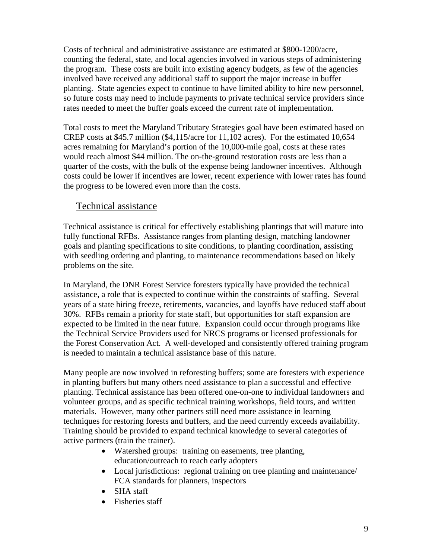Costs of technical and administrative assistance are estimated at \$800-1200/acre, counting the federal, state, and local agencies involved in various steps of administering the program. These costs are built into existing agency budgets, as few of the agencies involved have received any additional staff to support the major increase in buffer planting. State agencies expect to continue to have limited ability to hire new personnel, so future costs may need to include payments to private technical service providers since rates needed to meet the buffer goals exceed the current rate of implementation.

Total costs to meet the Maryland Tributary Strategies goal have been estimated based on CREP costs at \$45.7 million (\$4,115/acre for 11,102 acres). For the estimated 10,654 acres remaining for Maryland's portion of the 10,000-mile goal, costs at these rates would reach almost \$44 million. The on-the-ground restoration costs are less than a quarter of the costs, with the bulk of the expense being landowner incentives. Although costs could be lower if incentives are lower, recent experience with lower rates has found the progress to be lowered even more than the costs.

## Technical assistance

Technical assistance is critical for effectively establishing plantings that will mature into fully functional RFBs. Assistance ranges from planting design, matching landowner goals and planting specifications to site conditions, to planting coordination, assisting with seedling ordering and planting, to maintenance recommendations based on likely problems on the site.

In Maryland, the DNR Forest Service foresters typically have provided the technical assistance, a role that is expected to continue within the constraints of staffing. Several years of a state hiring freeze, retirements, vacancies, and layoffs have reduced staff about 30%. RFBs remain a priority for state staff, but opportunities for staff expansion are expected to be limited in the near future. Expansion could occur through programs like the Technical Service Providers used for NRCS programs or licensed professionals for the Forest Conservation Act. A well-developed and consistently offered training program is needed to maintain a technical assistance base of this nature.

Many people are now involved in reforesting buffers; some are foresters with experience in planting buffers but many others need assistance to plan a successful and effective planting. Technical assistance has been offered one-on-one to individual landowners and volunteer groups, and as specific technical training workshops, field tours, and written materials. However, many other partners still need more assistance in learning techniques for restoring forests and buffers, and the need currently exceeds availability. Training should be provided to expand technical knowledge to several categories of active partners (train the trainer).

- Watershed groups: training on easements, tree planting, education/outreach to reach early adopters
- Local jurisdictions: regional training on tree planting and maintenance/ FCA standards for planners, inspectors
- SHA staff
- Fisheries staff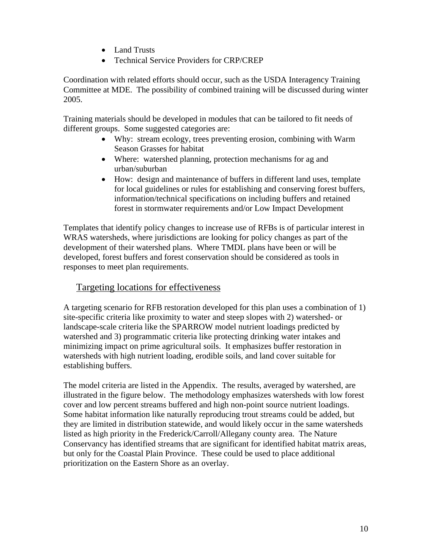- Land Trusts
- Technical Service Providers for CRP/CREP

Coordination with related efforts should occur, such as the USDA Interagency Training Committee at MDE. The possibility of combined training will be discussed during winter 2005.

Training materials should be developed in modules that can be tailored to fit needs of different groups. Some suggested categories are:

- Why: stream ecology, trees preventing erosion, combining with Warm Season Grasses for habitat
- Where: watershed planning, protection mechanisms for ag and urban/suburban
- How: design and maintenance of buffers in different land uses, template for local guidelines or rules for establishing and conserving forest buffers, information/technical specifications on including buffers and retained forest in stormwater requirements and/or Low Impact Development

Templates that identify policy changes to increase use of RFBs is of particular interest in WRAS watersheds, where jurisdictions are looking for policy changes as part of the development of their watershed plans. Where TMDL plans have been or will be developed, forest buffers and forest conservation should be considered as tools in responses to meet plan requirements.

# Targeting locations for effectiveness

A targeting scenario for RFB restoration developed for this plan uses a combination of 1) site-specific criteria like proximity to water and steep slopes with 2) watershed- or landscape-scale criteria like the SPARROW model nutrient loadings predicted by watershed and 3) programmatic criteria like protecting drinking water intakes and minimizing impact on prime agricultural soils. It emphasizes buffer restoration in watersheds with high nutrient loading, erodible soils, and land cover suitable for establishing buffers.

The model criteria are listed in the Appendix. The results, averaged by watershed, are illustrated in the figure below. The methodology emphasizes watersheds with low forest cover and low percent streams buffered and high non-point source nutrient loadings. Some habitat information like naturally reproducing trout streams could be added, but they are limited in distribution statewide, and would likely occur in the same watersheds listed as high priority in the Frederick/Carroll/Allegany county area. The Nature Conservancy has identified streams that are significant for identified habitat matrix areas, but only for the Coastal Plain Province. These could be used to place additional prioritization on the Eastern Shore as an overlay.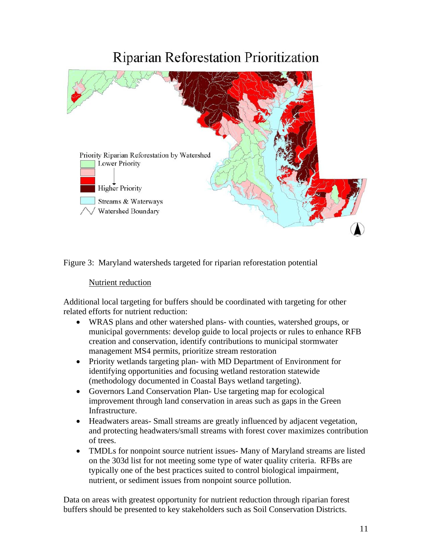# **Riparian Reforestation Prioritization**



Figure 3: Maryland watersheds targeted for riparian reforestation potential

#### Nutrient reduction

Additional local targeting for buffers should be coordinated with targeting for other related efforts for nutrient reduction:

- WRAS plans and other watershed plans- with counties, watershed groups, or municipal governments: develop guide to local projects or rules to enhance RFB creation and conservation, identify contributions to municipal stormwater management MS4 permits, prioritize stream restoration
- Priority wetlands targeting plan- with MD Department of Environment for identifying opportunities and focusing wetland restoration statewide (methodology documented in Coastal Bays wetland targeting).
- Governors Land Conservation Plan- Use targeting map for ecological improvement through land conservation in areas such as gaps in the Green Infrastructure.
- Headwaters areas- Small streams are greatly influenced by adjacent vegetation, and protecting headwaters/small streams with forest cover maximizes contribution of trees.
- TMDLs for nonpoint source nutrient issues-Many of Maryland streams are listed on the 303d list for not meeting some type of water quality criteria. RFBs are typically one of the best practices suited to control biological impairment, nutrient, or sediment issues from nonpoint source pollution.

Data on areas with greatest opportunity for nutrient reduction through riparian forest buffers should be presented to key stakeholders such as Soil Conservation Districts.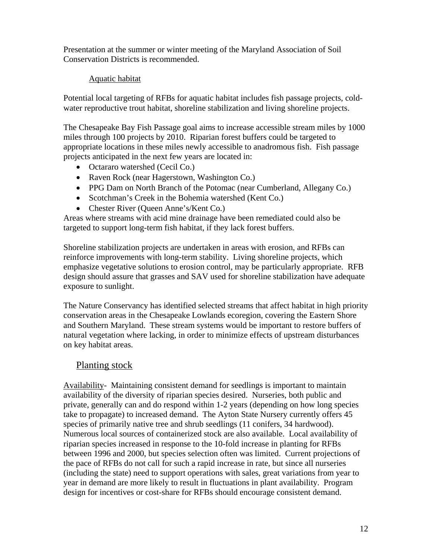Presentation at the summer or winter meeting of the Maryland Association of Soil Conservation Districts is recommended.

#### Aquatic habitat

Potential local targeting of RFBs for aquatic habitat includes fish passage projects, coldwater reproductive trout habitat, shoreline stabilization and living shoreline projects.

The Chesapeake Bay Fish Passage goal aims to increase accessible stream miles by 1000 miles through 100 projects by 2010. Riparian forest buffers could be targeted to appropriate locations in these miles newly accessible to anadromous fish. Fish passage projects anticipated in the next few years are located in:

- Octararo watershed (Cecil Co.)
- Raven Rock (near Hagerstown, Washington Co.)
- PPG Dam on North Branch of the Potomac (near Cumberland, Allegany Co.)
- Scotchman's Creek in the Bohemia watershed (Kent Co.)
- Chester River (Queen Anne's/Kent Co.)

Areas where streams with acid mine drainage have been remediated could also be targeted to support long-term fish habitat, if they lack forest buffers.

Shoreline stabilization projects are undertaken in areas with erosion, and RFBs can reinforce improvements with long-term stability. Living shoreline projects, which emphasize vegetative solutions to erosion control, may be particularly appropriate. RFB design should assure that grasses and SAV used for shoreline stabilization have adequate exposure to sunlight.

The Nature Conservancy has identified selected streams that affect habitat in high priority conservation areas in the Chesapeake Lowlands ecoregion, covering the Eastern Shore and Southern Maryland. These stream systems would be important to restore buffers of natural vegetation where lacking, in order to minimize effects of upstream disturbances on key habitat areas.

## Planting stock

Availability- Maintaining consistent demand for seedlings is important to maintain availability of the diversity of riparian species desired. Nurseries, both public and private, generally can and do respond within 1-2 years (depending on how long species take to propagate) to increased demand. The Ayton State Nursery currently offers 45 species of primarily native tree and shrub seedlings (11 conifers, 34 hardwood). Numerous local sources of containerized stock are also available. Local availability of riparian species increased in response to the 10-fold increase in planting for RFBs between 1996 and 2000, but species selection often was limited. Current projections of the pace of RFBs do not call for such a rapid increase in rate, but since all nurseries (including the state) need to support operations with sales, great variations from year to year in demand are more likely to result in fluctuations in plant availability. Program design for incentives or cost-share for RFBs should encourage consistent demand.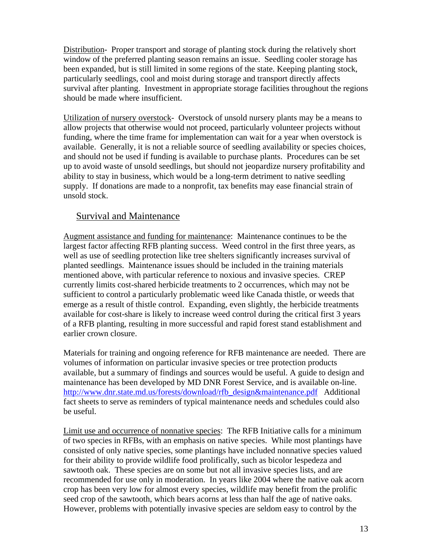Distribution- Proper transport and storage of planting stock during the relatively short window of the preferred planting season remains an issue. Seedling cooler storage has been expanded, but is still limited in some regions of the state. Keeping planting stock, particularly seedlings, cool and moist during storage and transport directly affects survival after planting. Investment in appropriate storage facilities throughout the regions should be made where insufficient.

Utilization of nursery overstock- Overstock of unsold nursery plants may be a means to allow projects that otherwise would not proceed, particularly volunteer projects without funding, where the time frame for implementation can wait for a year when overstock is available. Generally, it is not a reliable source of seedling availability or species choices, and should not be used if funding is available to purchase plants. Procedures can be set up to avoid waste of unsold seedlings, but should not jeopardize nursery profitability and ability to stay in business, which would be a long-term detriment to native seedling supply. If donations are made to a nonprofit, tax benefits may ease financial strain of unsold stock.

## Survival and Maintenance

Augment assistance and funding for maintenance: Maintenance continues to be the largest factor affecting RFB planting success. Weed control in the first three years, as well as use of seedling protection like tree shelters significantly increases survival of planted seedlings. Maintenance issues should be included in the training materials mentioned above, with particular reference to noxious and invasive species. CREP currently limits cost-shared herbicide treatments to 2 occurrences, which may not be sufficient to control a particularly problematic weed like Canada thistle, or weeds that emerge as a result of thistle control. Expanding, even slightly, the herbicide treatments available for cost-share is likely to increase weed control during the critical first 3 years of a RFB planting, resulting in more successful and rapid forest stand establishment and earlier crown closure.

Materials for training and ongoing reference for RFB maintenance are needed. There are volumes of information on particular invasive species or tree protection products available, but a summary of findings and sources would be useful. A guide to design and maintenance has been developed by MD DNR Forest Service, and is available on-line. http://www.dnr.state.md.us/forests/download/rfb\_design&maintenance.pdf Additional fact sheets to serve as reminders of typical maintenance needs and schedules could also be useful.

Limit use and occurrence of nonnative species: The RFB Initiative calls for a minimum of two species in RFBs, with an emphasis on native species. While most plantings have consisted of only native species, some plantings have included nonnative species valued for their ability to provide wildlife food prolifically, such as bicolor lespedeza and sawtooth oak. These species are on some but not all invasive species lists, and are recommended for use only in moderation. In years like 2004 where the native oak acorn crop has been very low for almost every species, wildlife may benefit from the prolific seed crop of the sawtooth, which bears acorns at less than half the age of native oaks. However, problems with potentially invasive species are seldom easy to control by the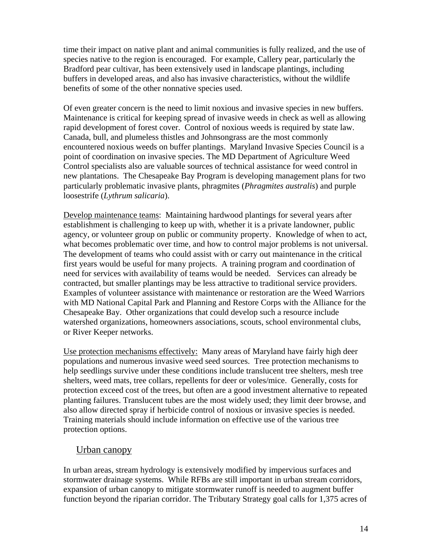time their impact on native plant and animal communities is fully realized, and the use of species native to the region is encouraged. For example, Callery pear, particularly the Bradford pear cultivar, has been extensively used in landscape plantings, including buffers in developed areas, and also has invasive characteristics, without the wildlife benefits of some of the other nonnative species used.

Of even greater concern is the need to limit noxious and invasive species in new buffers. Maintenance is critical for keeping spread of invasive weeds in check as well as allowing rapid development of forest cover. Control of noxious weeds is required by state law. Canada, bull, and plumeless thistles and Johnsongrass are the most commonly encountered noxious weeds on buffer plantings. Maryland Invasive Species Council is a point of coordination on invasive species. The MD Department of Agriculture Weed Control specialists also are valuable sources of technical assistance for weed control in new plantations. The Chesapeake Bay Program is developing management plans for two particularly problematic invasive plants, phragmites (*Phragmites australis*) and purple loosestrife (*Lythrum salicaria*).

Develop maintenance teams: Maintaining hardwood plantings for several years after establishment is challenging to keep up with, whether it is a private landowner, public agency, or volunteer group on public or community property. Knowledge of when to act, what becomes problematic over time, and how to control major problems is not universal. The development of teams who could assist with or carry out maintenance in the critical first years would be useful for many projects. A training program and coordination of need for services with availability of teams would be needed. Services can already be contracted, but smaller plantings may be less attractive to traditional service providers. Examples of volunteer assistance with maintenance or restoration are the Weed Warriors with MD National Capital Park and Planning and Restore Corps with the Alliance for the Chesapeake Bay. Other organizations that could develop such a resource include watershed organizations, homeowners associations, scouts, school environmental clubs, or River Keeper networks.

Use protection mechanisms effectively: Many areas of Maryland have fairly high deer populations and numerous invasive weed seed sources. Tree protection mechanisms to help seedlings survive under these conditions include translucent tree shelters, mesh tree shelters, weed mats, tree collars, repellents for deer or voles/mice. Generally, costs for protection exceed cost of the trees, but often are a good investment alternative to repeated planting failures. Translucent tubes are the most widely used; they limit deer browse, and also allow directed spray if herbicide control of noxious or invasive species is needed. Training materials should include information on effective use of the various tree protection options.

## Urban canopy

In urban areas, stream hydrology is extensively modified by impervious surfaces and stormwater drainage systems. While RFBs are still important in urban stream corridors, expansion of urban canopy to mitigate stormwater runoff is needed to augment buffer function beyond the riparian corridor. The Tributary Strategy goal calls for 1,375 acres of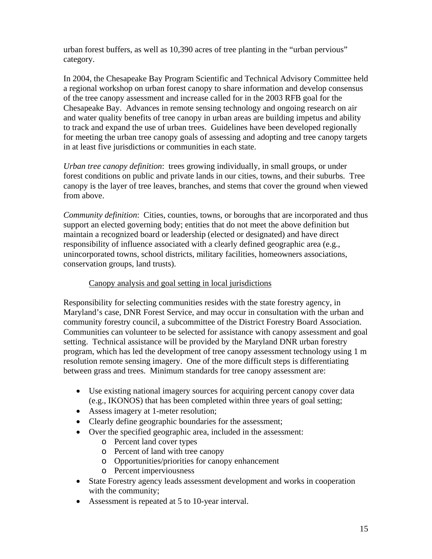urban forest buffers, as well as 10,390 acres of tree planting in the "urban pervious" category.

In 2004, the Chesapeake Bay Program Scientific and Technical Advisory Committee held a regional workshop on urban forest canopy to share information and develop consensus of the tree canopy assessment and increase called for in the 2003 RFB goal for the Chesapeake Bay. Advances in remote sensing technology and ongoing research on air and water quality benefits of tree canopy in urban areas are building impetus and ability to track and expand the use of urban trees. Guidelines have been developed regionally for meeting the urban tree canopy goals of assessing and adopting and tree canopy targets in at least five jurisdictions or communities in each state.

*Urban tree canopy definition*: trees growing individually, in small groups, or under forest conditions on public and private lands in our cities, towns, and their suburbs. Tree canopy is the layer of tree leaves, branches, and stems that cover the ground when viewed from above.

*Community definition*: Cities, counties, towns, or boroughs that are incorporated and thus support an elected governing body; entities that do not meet the above definition but maintain a recognized board or leadership (elected or designated) and have direct responsibility of influence associated with a clearly defined geographic area (e.g., unincorporated towns, school districts, military facilities, homeowners associations, conservation groups, land trusts).

#### Canopy analysis and goal setting in local jurisdictions

Responsibility for selecting communities resides with the state forestry agency, in Maryland's case, DNR Forest Service, and may occur in consultation with the urban and community forestry council, a subcommittee of the District Forestry Board Association. Communities can volunteer to be selected for assistance with canopy assessment and goal setting. Technical assistance will be provided by the Maryland DNR urban forestry program, which has led the development of tree canopy assessment technology using 1 m resolution remote sensing imagery. One of the more difficult steps is differentiating between grass and trees. Minimum standards for tree canopy assessment are:

- Use existing national imagery sources for acquiring percent canopy cover data (e.g., IKONOS) that has been completed within three years of goal setting;
- Assess imagery at 1-meter resolution;
- Clearly define geographic boundaries for the assessment;
- Over the specified geographic area, included in the assessment:
	- o Percent land cover types
	- o Percent of land with tree canopy
	- o Opportunities/priorities for canopy enhancement
	- o Percent imperviousness
- State Forestry agency leads assessment development and works in cooperation with the community;
- Assessment is repeated at 5 to 10-year interval.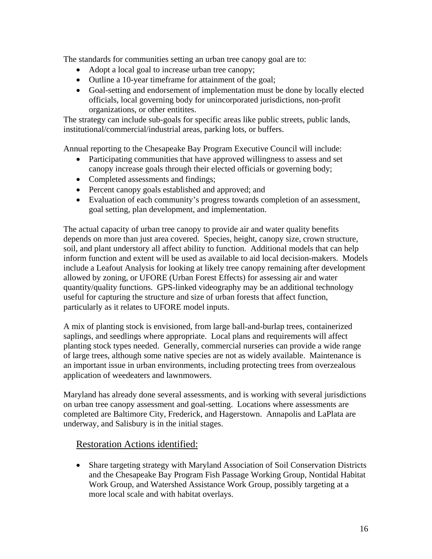The standards for communities setting an urban tree canopy goal are to:

- Adopt a local goal to increase urban tree canopy;
- Outline a 10-year timeframe for attainment of the goal;
- Goal-setting and endorsement of implementation must be done by locally elected officials, local governing body for unincorporated jurisdictions, non-profit organizations, or other entitites.

The strategy can include sub-goals for specific areas like public streets, public lands, institutional/commercial/industrial areas, parking lots, or buffers.

Annual reporting to the Chesapeake Bay Program Executive Council will include:

- Participating communities that have approved willingness to assess and set canopy increase goals through their elected officials or governing body;
- Completed assessments and findings;
- Percent canopy goals established and approved; and
- Evaluation of each community's progress towards completion of an assessment, goal setting, plan development, and implementation.

The actual capacity of urban tree canopy to provide air and water quality benefits depends on more than just area covered. Species, height, canopy size, crown structure, soil, and plant understory all affect ability to function. Additional models that can help inform function and extent will be used as available to aid local decision-makers. Models include a Leafout Analysis for looking at likely tree canopy remaining after development allowed by zoning, or UFORE (Urban Forest Effects) for assessing air and water quantity/quality functions. GPS-linked videography may be an additional technology useful for capturing the structure and size of urban forests that affect function, particularly as it relates to UFORE model inputs.

A mix of planting stock is envisioned, from large ball-and-burlap trees, containerized saplings, and seedlings where appropriate. Local plans and requirements will affect planting stock types needed. Generally, commercial nurseries can provide a wide range of large trees, although some native species are not as widely available. Maintenance is an important issue in urban environments, including protecting trees from overzealous application of weedeaters and lawnmowers.

Maryland has already done several assessments, and is working with several jurisdictions on urban tree canopy assessment and goal-setting. Locations where assessments are completed are Baltimore City, Frederick, and Hagerstown. Annapolis and LaPlata are underway, and Salisbury is in the initial stages.

#### Restoration Actions identified:

• Share targeting strategy with Maryland Association of Soil Conservation Districts and the Chesapeake Bay Program Fish Passage Working Group, Nontidal Habitat Work Group, and Watershed Assistance Work Group, possibly targeting at a more local scale and with habitat overlays.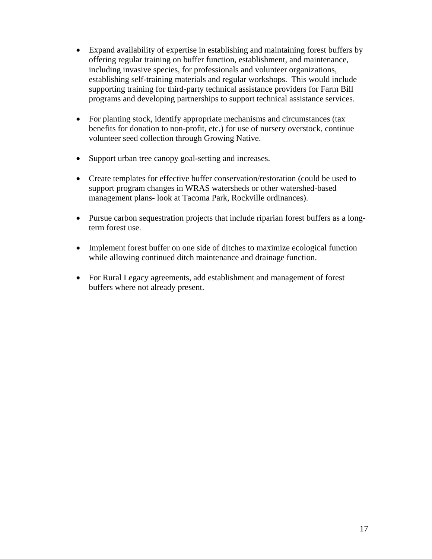- Expand availability of expertise in establishing and maintaining forest buffers by offering regular training on buffer function, establishment, and maintenance, including invasive species, for professionals and volunteer organizations, establishing self-training materials and regular workshops. This would include supporting training for third-party technical assistance providers for Farm Bill programs and developing partnerships to support technical assistance services.
- For planting stock, identify appropriate mechanisms and circumstances (tax benefits for donation to non-profit, etc.) for use of nursery overstock, continue volunteer seed collection through Growing Native.
- Support urban tree canopy goal-setting and increases.
- Create templates for effective buffer conservation/restoration (could be used to support program changes in WRAS watersheds or other watershed-based management plans- look at Tacoma Park, Rockville ordinances).
- Pursue carbon sequestration projects that include riparian forest buffers as a longterm forest use.
- Implement forest buffer on one side of ditches to maximize ecological function while allowing continued ditch maintenance and drainage function.
- For Rural Legacy agreements, add establishment and management of forest buffers where not already present.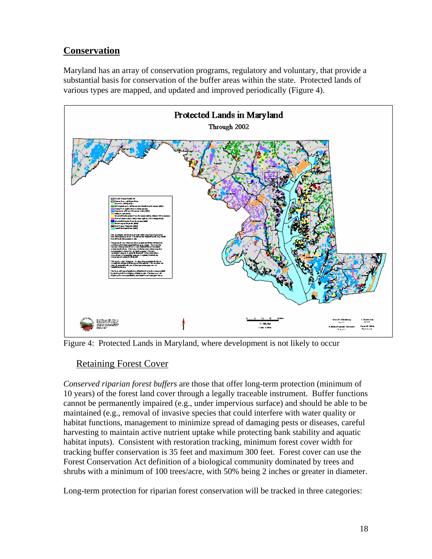# **Conservation**

Maryland has an array of conservation programs, regulatory and voluntary, that provide a substantial basis for conservation of the buffer areas within the state. Protected lands of various types are mapped, and updated and improved periodically (Figure 4).



Figure 4: Protected Lands in Maryland, where development is not likely to occur

# Retaining Forest Cover

*Conserved riparian forest buffers* are those that offer long-term protection (minimum of 10 years) of the forest land cover through a legally traceable instrument. Buffer functions cannot be permanently impaired (e.g., under impervious surface) and should be able to be maintained (e.g., removal of invasive species that could interfere with water quality or habitat functions, management to minimize spread of damaging pests or diseases, careful harvesting to maintain active nutrient uptake while protecting bank stability and aquatic habitat inputs). Consistent with restoration tracking, minimum forest cover width for tracking buffer conservation is 35 feet and maximum 300 feet. Forest cover can use the Forest Conservation Act definition of a biological community dominated by trees and shrubs with a minimum of 100 trees/acre, with 50% being 2 inches or greater in diameter.

Long-term protection for riparian forest conservation will be tracked in three categories: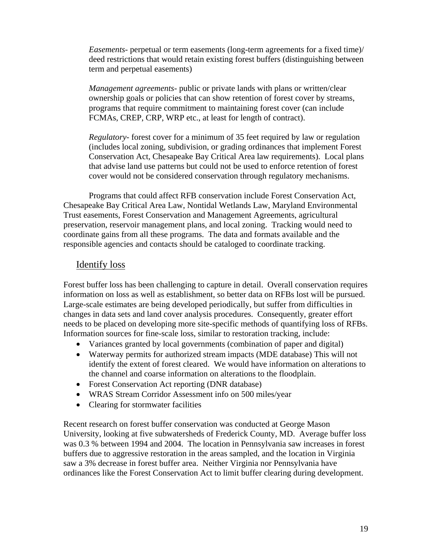*Easements-* perpetual or term easements (long-term agreements for a fixed time)/ deed restrictions that would retain existing forest buffers (distinguishing between term and perpetual easements)

*Management agreements*- public or private lands with plans or written/clear ownership goals or policies that can show retention of forest cover by streams, programs that require commitment to maintaining forest cover (can include FCMAs, CREP, CRP, WRP etc., at least for length of contract).

*Regulatory*- forest cover for a minimum of 35 feet required by law or regulation (includes local zoning, subdivision, or grading ordinances that implement Forest Conservation Act, Chesapeake Bay Critical Area law requirements). Local plans that advise land use patterns but could not be used to enforce retention of forest cover would not be considered conservation through regulatory mechanisms.

Programs that could affect RFB conservation include Forest Conservation Act, Chesapeake Bay Critical Area Law, Nontidal Wetlands Law, Maryland Environmental Trust easements, Forest Conservation and Management Agreements, agricultural preservation, reservoir management plans, and local zoning. Tracking would need to coordinate gains from all these programs. The data and formats available and the responsible agencies and contacts should be cataloged to coordinate tracking.

#### Identify loss

Forest buffer loss has been challenging to capture in detail. Overall conservation requires information on loss as well as establishment, so better data on RFBs lost will be pursued. Large-scale estimates are being developed periodically, but suffer from difficulties in changes in data sets and land cover analysis procedures. Consequently, greater effort needs to be placed on developing more site-specific methods of quantifying loss of RFBs. Information sources for fine-scale loss, similar to restoration tracking, include:

- Variances granted by local governments (combination of paper and digital)
- Waterway permits for authorized stream impacts (MDE database) This will not identify the extent of forest cleared. We would have information on alterations to the channel and coarse information on alterations to the floodplain.
- Forest Conservation Act reporting (DNR database)
- WRAS Stream Corridor Assessment info on 500 miles/year
- Clearing for stormwater facilities

Recent research on forest buffer conservation was conducted at George Mason University, looking at five subwatersheds of Frederick County, MD. Average buffer loss was 0.3 % between 1994 and 2004. The location in Pennsylvania saw increases in forest buffers due to aggressive restoration in the areas sampled, and the location in Virginia saw a 3% decrease in forest buffer area. Neither Virginia nor Pennsylvania have ordinances like the Forest Conservation Act to limit buffer clearing during development.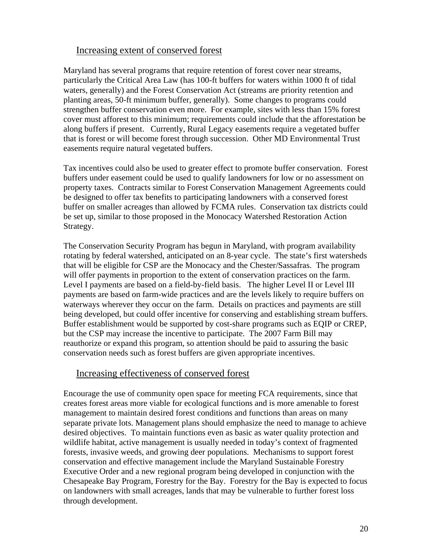#### Increasing extent of conserved forest

Maryland has several programs that require retention of forest cover near streams, particularly the Critical Area Law (has 100-ft buffers for waters within 1000 ft of tidal waters, generally) and the Forest Conservation Act (streams are priority retention and planting areas, 50-ft minimum buffer, generally). Some changes to programs could strengthen buffer conservation even more. For example, sites with less than 15% forest cover must afforest to this minimum; requirements could include that the afforestation be along buffers if present. Currently, Rural Legacy easements require a vegetated buffer that is forest or will become forest through succession. Other MD Environmental Trust easements require natural vegetated buffers.

Tax incentives could also be used to greater effect to promote buffer conservation. Forest buffers under easement could be used to qualify landowners for low or no assessment on property taxes. Contracts similar to Forest Conservation Management Agreements could be designed to offer tax benefits to participating landowners with a conserved forest buffer on smaller acreages than allowed by FCMA rules. Conservation tax districts could be set up, similar to those proposed in the Monocacy Watershed Restoration Action Strategy.

The Conservation Security Program has begun in Maryland, with program availability rotating by federal watershed, anticipated on an 8-year cycle. The state's first watersheds that will be eligible for CSP are the Monocacy and the Chester/Sassafras. The program will offer payments in proportion to the extent of conservation practices on the farm. Level I payments are based on a field-by-field basis. The higher Level II or Level III payments are based on farm-wide practices and are the levels likely to require buffers on waterways wherever they occur on the farm. Details on practices and payments are still being developed, but could offer incentive for conserving and establishing stream buffers. Buffer establishment would be supported by cost-share programs such as EQIP or CREP, but the CSP may increase the incentive to participate. The 2007 Farm Bill may reauthorize or expand this program, so attention should be paid to assuring the basic conservation needs such as forest buffers are given appropriate incentives.

#### Increasing effectiveness of conserved forest

Encourage the use of community open space for meeting FCA requirements, since that creates forest areas more viable for ecological functions and is more amenable to forest management to maintain desired forest conditions and functions than areas on many separate private lots. Management plans should emphasize the need to manage to achieve desired objectives. To maintain functions even as basic as water quality protection and wildlife habitat, active management is usually needed in today's context of fragmented forests, invasive weeds, and growing deer populations. Mechanisms to support forest conservation and effective management include the Maryland Sustainable Forestry Executive Order and a new regional program being developed in conjunction with the Chesapeake Bay Program, Forestry for the Bay. Forestry for the Bay is expected to focus on landowners with small acreages, lands that may be vulnerable to further forest loss through development.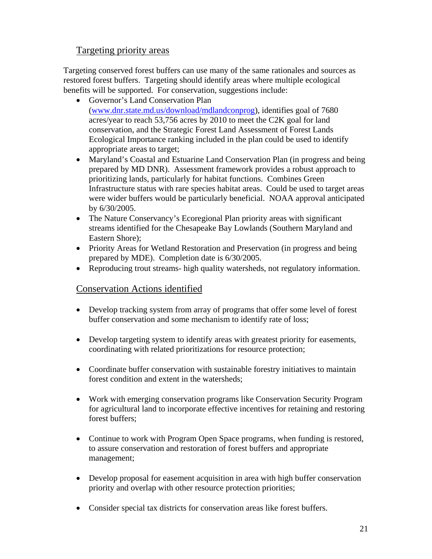# Targeting priority areas

Targeting conserved forest buffers can use many of the same rationales and sources as restored forest buffers. Targeting should identify areas where multiple ecological benefits will be supported. For conservation, suggestions include:

- Governor's Land Conservation Plan (www.dnr.state.md.us/download/mdlandconprog), identifies goal of 7680 acres/year to reach 53,756 acres by 2010 to meet the C2K goal for land conservation, and the Strategic Forest Land Assessment of Forest Lands Ecological Importance ranking included in the plan could be used to identify appropriate areas to target;
- Maryland's Coastal and Estuarine Land Conservation Plan (in progress and being prepared by MD DNR). Assessment framework provides a robust approach to prioritizing lands, particularly for habitat functions. Combines Green Infrastructure status with rare species habitat areas. Could be used to target areas were wider buffers would be particularly beneficial. NOAA approval anticipated by 6/30/2005.
- The Nature Conservancy's Ecoregional Plan priority areas with significant streams identified for the Chesapeake Bay Lowlands (Southern Maryland and Eastern Shore);
- Priority Areas for Wetland Restoration and Preservation (in progress and being prepared by MDE). Completion date is 6/30/2005.
- Reproducing trout streams- high quality watersheds, not regulatory information.

## Conservation Actions identified

- Develop tracking system from array of programs that offer some level of forest buffer conservation and some mechanism to identify rate of loss;
- Develop targeting system to identify areas with greatest priority for easements, coordinating with related prioritizations for resource protection;
- Coordinate buffer conservation with sustainable forestry initiatives to maintain forest condition and extent in the watersheds;
- Work with emerging conservation programs like Conservation Security Program for agricultural land to incorporate effective incentives for retaining and restoring forest buffers;
- Continue to work with Program Open Space programs, when funding is restored, to assure conservation and restoration of forest buffers and appropriate management;
- Develop proposal for easement acquisition in area with high buffer conservation priority and overlap with other resource protection priorities;
- Consider special tax districts for conservation areas like forest buffers.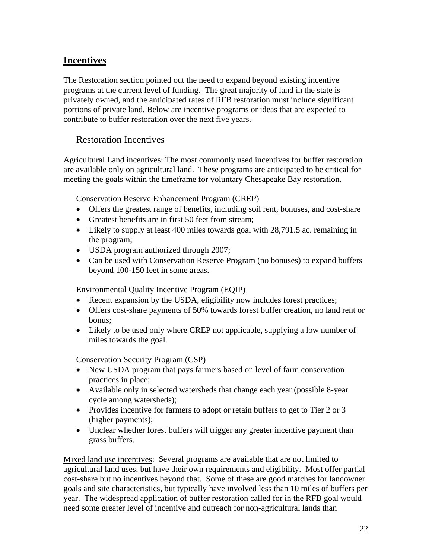# **Incentives**

The Restoration section pointed out the need to expand beyond existing incentive programs at the current level of funding. The great majority of land in the state is privately owned, and the anticipated rates of RFB restoration must include significant portions of private land. Below are incentive programs or ideas that are expected to contribute to buffer restoration over the next five years.

#### Restoration Incentives

Agricultural Land incentives: The most commonly used incentives for buffer restoration are available only on agricultural land. These programs are anticipated to be critical for meeting the goals within the timeframe for voluntary Chesapeake Bay restoration.

Conservation Reserve Enhancement Program (CREP)

- Offers the greatest range of benefits, including soil rent, bonuses, and cost-share
- Greatest benefits are in first 50 feet from stream;
- Likely to supply at least 400 miles towards goal with 28,791.5 ac. remaining in the program;
- USDA program authorized through 2007;
- Can be used with Conservation Reserve Program (no bonuses) to expand buffers beyond 100-150 feet in some areas.

Environmental Quality Incentive Program (EQIP)

- Recent expansion by the USDA, eligibility now includes forest practices;
- Offers cost-share payments of 50% towards forest buffer creation, no land rent or bonus;
- Likely to be used only where CREP not applicable, supplying a low number of miles towards the goal.

Conservation Security Program (CSP)

- New USDA program that pays farmers based on level of farm conservation practices in place;
- Available only in selected watersheds that change each year (possible 8-year cycle among watersheds);
- Provides incentive for farmers to adopt or retain buffers to get to Tier 2 or 3 (higher payments);
- Unclear whether forest buffers will trigger any greater incentive payment than grass buffers.

Mixed land use incentives: Several programs are available that are not limited to agricultural land uses, but have their own requirements and eligibility. Most offer partial cost-share but no incentives beyond that. Some of these are good matches for landowner goals and site characteristics, but typically have involved less than 10 miles of buffers per year. The widespread application of buffer restoration called for in the RFB goal would need some greater level of incentive and outreach for non-agricultural lands than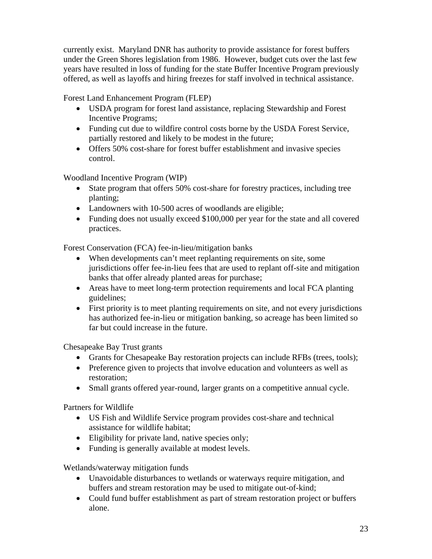currently exist. Maryland DNR has authority to provide assistance for forest buffers under the Green Shores legislation from 1986. However, budget cuts over the last few years have resulted in loss of funding for the state Buffer Incentive Program previously offered, as well as layoffs and hiring freezes for staff involved in technical assistance.

Forest Land Enhancement Program (FLEP)

- USDA program for forest land assistance, replacing Stewardship and Forest Incentive Programs;
- Funding cut due to wildfire control costs borne by the USDA Forest Service, partially restored and likely to be modest in the future;
- Offers 50% cost-share for forest buffer establishment and invasive species control.

Woodland Incentive Program (WIP)

- State program that offers 50% cost-share for forestry practices, including tree planting;
- Landowners with 10-500 acres of woodlands are eligible;
- Funding does not usually exceed \$100,000 per year for the state and all covered practices.

Forest Conservation (FCA) fee-in-lieu/mitigation banks

- When developments can't meet replanting requirements on site, some jurisdictions offer fee-in-lieu fees that are used to replant off-site and mitigation banks that offer already planted areas for purchase;
- Areas have to meet long-term protection requirements and local FCA planting guidelines;
- First priority is to meet planting requirements on site, and not every jurisdictions has authorized fee-in-lieu or mitigation banking, so acreage has been limited so far but could increase in the future.

Chesapeake Bay Trust grants

- Grants for Chesapeake Bay restoration projects can include RFBs (trees, tools);
- Preference given to projects that involve education and volunteers as well as restoration;
- Small grants offered year-round, larger grants on a competitive annual cycle.

Partners for Wildlife

- US Fish and Wildlife Service program provides cost-share and technical assistance for wildlife habitat;
- Eligibility for private land, native species only;
- Funding is generally available at modest levels.

Wetlands/waterway mitigation funds

- Unavoidable disturbances to wetlands or waterways require mitigation, and buffers and stream restoration may be used to mitigate out-of-kind;
- Could fund buffer establishment as part of stream restoration project or buffers alone.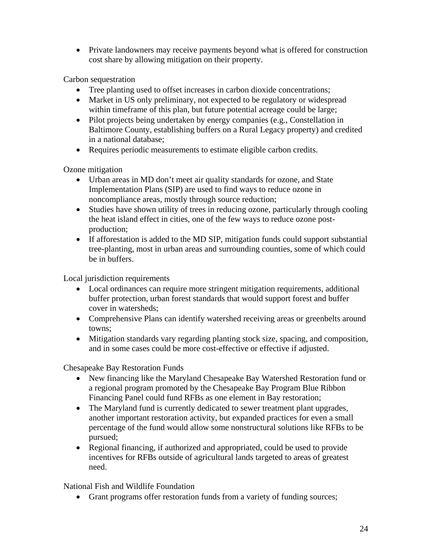• Private landowners may receive payments beyond what is offered for construction cost share by allowing mitigation on their property.

Carbon sequestration

- Tree planting used to offset increases in carbon dioxide concentrations;
- Market in US only preliminary, not expected to be regulatory or widespread within timeframe of this plan, but future potential acreage could be large;
- Pilot projects being undertaken by energy companies (e.g., Constellation in Baltimore County, establishing buffers on a Rural Legacy property) and credited in a national database;
- Requires periodic measurements to estimate eligible carbon credits.

Ozone mitigation

- Urban areas in MD don't meet air quality standards for ozone, and State Implementation Plans (SIP) are used to find ways to reduce ozone in noncompliance areas, mostly through source reduction;
- Studies have shown utility of trees in reducing ozone, particularly through cooling the heat island effect in cities, one of the few ways to reduce ozone postproduction;
- If afforestation is added to the MD SIP, mitigation funds could support substantial tree-planting, most in urban areas and surrounding counties, some of which could be in buffers.

Local jurisdiction requirements

- Local ordinances can require more stringent mitigation requirements, additional buffer protection, urban forest standards that would support forest and buffer cover in watersheds;
- Comprehensive Plans can identify watershed receiving areas or greenbelts around towns;
- Mitigation standards vary regarding planting stock size, spacing, and composition, and in some cases could be more cost-effective or effective if adjusted.

Chesapeake Bay Restoration Funds

- New financing like the Maryland Chesapeake Bay Watershed Restoration fund or a regional program promoted by the Chesapeake Bay Program Blue Ribbon Financing Panel could fund RFBs as one element in Bay restoration;
- The Maryland fund is currently dedicated to sewer treatment plant upgrades, another important restoration activity, but expanded practices for even a small percentage of the fund would allow some nonstructural solutions like RFBs to be pursued;
- Regional financing, if authorized and appropriated, could be used to provide incentives for RFBs outside of agricultural lands targeted to areas of greatest need.

National Fish and Wildlife Foundation

• Grant programs offer restoration funds from a variety of funding sources;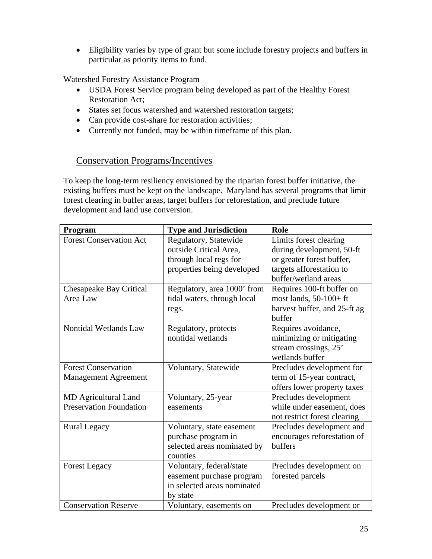• Eligibility varies by type of grant but some include forestry projects and buffers in particular as priority items to fund.

Watershed Forestry Assistance Program

- USDA Forest Service program being developed as part of the Healthy Forest Restoration Act;
- States set focus watershed and watershed restoration targets;
- Can provide cost-share for restoration activities;
- Currently not funded, may be within timeframe of this plan.

# Conservation Programs/Incentives

To keep the long-term resiliency envisioned by the riparian forest buffer initiative, the existing buffers must be kept on the landscape. Maryland has several programs that limit forest clearing in buffer areas, target buffers for reforestation, and preclude future development and land use conversion.

| Program                        | <b>Type and Jurisdiction</b> | Role                         |
|--------------------------------|------------------------------|------------------------------|
| <b>Forest Conservation Act</b> | Regulatory, Statewide        | Limits forest clearing       |
|                                | outside Critical Area,       | during development, 50-ft    |
|                                | through local regs for       | or greater forest buffer,    |
|                                | properties being developed   | targets afforestation to     |
|                                |                              | buffer/wetland areas         |
| Chesapeake Bay Critical        | Regulatory, area 1000' from  | Requires 100-ft buffer on    |
| Area Law                       | tidal waters, through local  | most lands, $50-100+ft$      |
|                                | regs.                        | harvest buffer, and 25-ft ag |
|                                |                              | buffer                       |
| Nontidal Wetlands Law          | Regulatory, protects         | Requires avoidance,          |
|                                | nontidal wetlands            | minimizing or mitigating     |
|                                |                              | stream crossings, 25'        |
|                                |                              | wetlands buffer              |
| <b>Forest Conservation</b>     | Voluntary, Statewide         | Precludes development for    |
| <b>Management Agreement</b>    |                              | term of 15-year contract,    |
|                                |                              | offers lower property taxes  |
| MD Agricultural Land           | Voluntary, 25-year           | Precludes development        |
| <b>Preservation Foundation</b> | easements                    | while under easement, does   |
|                                |                              | not restrict forest clearing |
| <b>Rural Legacy</b>            | Voluntary, state easement    | Precludes development and    |
|                                | purchase program in          | encourages reforestation of  |
|                                | selected areas nominated by  | buffers                      |
|                                | counties                     |                              |
| <b>Forest Legacy</b>           | Voluntary, federal/state     | Precludes development on     |
|                                | easement purchase program    | forested parcels             |
|                                | in selected areas nominated  |                              |
|                                | by state                     |                              |
| <b>Conservation Reserve</b>    | Voluntary, easements on      | Precludes development or     |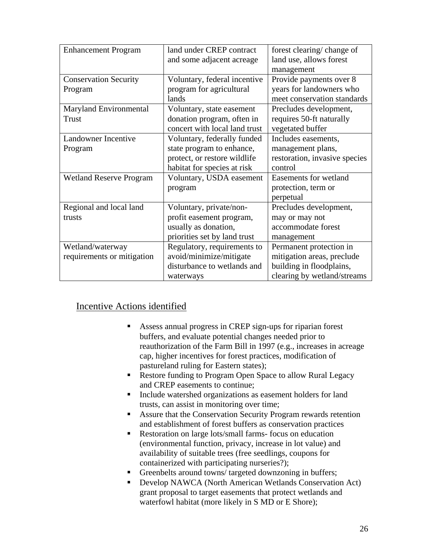| <b>Enhancement Program</b>     | land under CREP contract      | forest clearing/change of     |
|--------------------------------|-------------------------------|-------------------------------|
|                                | and some adjacent acreage     | land use, allows forest       |
|                                |                               | management                    |
| <b>Conservation Security</b>   | Voluntary, federal incentive  | Provide payments over 8       |
| Program                        | program for agricultural      | years for landowners who      |
|                                | lands                         | meet conservation standards   |
| Maryland Environmental         | Voluntary, state easement     | Precludes development,        |
| <b>Trust</b>                   | donation program, often in    | requires 50-ft naturally      |
|                                | concert with local land trust | vegetated buffer              |
| Landowner Incentive            | Voluntary, federally funded   | Includes easements,           |
| Program                        | state program to enhance,     | management plans,             |
|                                | protect, or restore wildlife  | restoration, invasive species |
|                                | habitat for species at risk   | control                       |
| <b>Wetland Reserve Program</b> | Voluntary, USDA easement      | Easements for wetland         |
|                                | program                       | protection, term or           |
|                                |                               | perpetual                     |
| Regional and local land        | Voluntary, private/non-       | Precludes development,        |
| trusts                         | profit easement program,      | may or may not                |
|                                | usually as donation,          | accommodate forest            |
|                                | priorities set by land trust  | management                    |
| Wetland/waterway               | Regulatory, requirements to   | Permanent protection in       |
| requirements or mitigation     | avoid/minimize/mitigate       | mitigation areas, preclude    |
|                                | disturbance to wetlands and   | building in floodplains,      |
|                                | waterways                     | clearing by wetland/streams   |

# Incentive Actions identified

- Assess annual progress in CREP sign-ups for riparian forest buffers, and evaluate potential changes needed prior to reauthorization of the Farm Bill in 1997 (e.g., increases in acreage cap, higher incentives for forest practices, modification of pastureland ruling for Eastern states);
- Restore funding to Program Open Space to allow Rural Legacy and CREP easements to continue;
- Include watershed organizations as easement holders for land trusts, can assist in monitoring over time;
- Assure that the Conservation Security Program rewards retention and establishment of forest buffers as conservation practices
- Restoration on large lots/small farms- focus on education (environmental function, privacy, increase in lot value) and availability of suitable trees (free seedlings, coupons for containerized with participating nurseries?);
- Greenbelts around towns/targeted downzoning in buffers;
- Develop NAWCA (North American Wetlands Conservation Act) grant proposal to target easements that protect wetlands and waterfowl habitat (more likely in S MD or E Shore);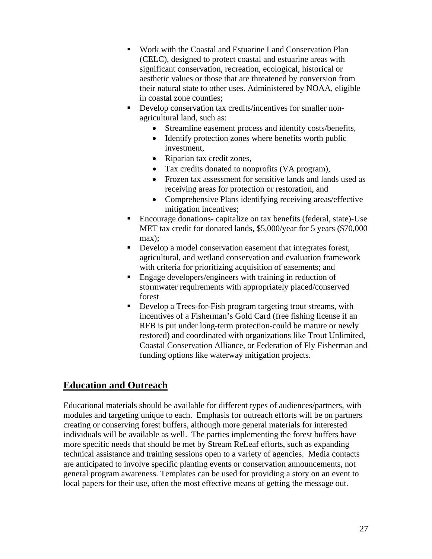- Work with the Coastal and Estuarine Land Conservation Plan (CELC), designed to protect coastal and estuarine areas with significant conservation, recreation, ecological, historical or aesthetic values or those that are threatened by conversion from their natural state to other uses. Administered by NOAA, eligible in coastal zone counties;
- Develop conservation tax credits/incentives for smaller nonagricultural land, such as:
	- Streamline easement process and identify costs/benefits,
	- Identify protection zones where benefits worth public investment,
	- Riparian tax credit zones,
	- Tax credits donated to nonprofits (VA program),
	- Frozen tax assessment for sensitive lands and lands used as receiving areas for protection or restoration, and
	- Comprehensive Plans identifying receiving areas/effective mitigation incentives;
- Encourage donations- capitalize on tax benefits (federal, state)-Use MET tax credit for donated lands, \$5,000/year for 5 years (\$70,000 max);
- Develop a model conservation easement that integrates forest, agricultural, and wetland conservation and evaluation framework with criteria for prioritizing acquisition of easements; and
- **Engage developers/engineers with training in reduction of** stormwater requirements with appropriately placed/conserved forest
- Develop a Trees-for-Fish program targeting trout streams, with incentives of a Fisherman's Gold Card (free fishing license if an RFB is put under long-term protection-could be mature or newly restored) and coordinated with organizations like Trout Unlimited, Coastal Conservation Alliance, or Federation of Fly Fisherman and funding options like waterway mitigation projects.

# **Education and Outreach**

Educational materials should be available for different types of audiences/partners, with modules and targeting unique to each. Emphasis for outreach efforts will be on partners creating or conserving forest buffers, although more general materials for interested individuals will be available as well. The parties implementing the forest buffers have more specific needs that should be met by Stream ReLeaf efforts, such as expanding technical assistance and training sessions open to a variety of agencies. Media contacts are anticipated to involve specific planting events or conservation announcements, not general program awareness. Templates can be used for providing a story on an event to local papers for their use, often the most effective means of getting the message out.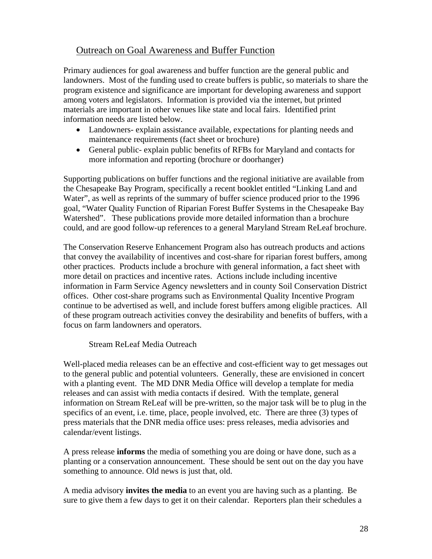# Outreach on Goal Awareness and Buffer Function

Primary audiences for goal awareness and buffer function are the general public and landowners. Most of the funding used to create buffers is public, so materials to share the program existence and significance are important for developing awareness and support among voters and legislators. Information is provided via the internet, but printed materials are important in other venues like state and local fairs. Identified print information needs are listed below.

- Landowners- explain assistance available, expectations for planting needs and maintenance requirements (fact sheet or brochure)
- General public- explain public benefits of RFBs for Maryland and contacts for more information and reporting (brochure or doorhanger)

Supporting publications on buffer functions and the regional initiative are available from the Chesapeake Bay Program, specifically a recent booklet entitled "Linking Land and Water", as well as reprints of the summary of buffer science produced prior to the 1996 goal, "Water Quality Function of Riparian Forest Buffer Systems in the Chesapeake Bay Watershed". These publications provide more detailed information than a brochure could, and are good follow-up references to a general Maryland Stream ReLeaf brochure.

The Conservation Reserve Enhancement Program also has outreach products and actions that convey the availability of incentives and cost-share for riparian forest buffers, among other practices. Products include a brochure with general information, a fact sheet with more detail on practices and incentive rates. Actions include including incentive information in Farm Service Agency newsletters and in county Soil Conservation District offices. Other cost-share programs such as Environmental Quality Incentive Program continue to be advertised as well, and include forest buffers among eligible practices. All of these program outreach activities convey the desirability and benefits of buffers, with a focus on farm landowners and operators.

#### Stream ReLeaf Media Outreach

Well-placed media releases can be an effective and cost-efficient way to get messages out to the general public and potential volunteers. Generally, these are envisioned in concert with a planting event. The MD DNR Media Office will develop a template for media releases and can assist with media contacts if desired. With the template, general information on Stream ReLeaf will be pre-written, so the major task will be to plug in the specifics of an event, i.e. time, place, people involved, etc. There are three (3) types of press materials that the DNR media office uses: press releases, media advisories and calendar/event listings.

A press release **informs** the media of something you are doing or have done, such as a planting or a conservation announcement. These should be sent out on the day you have something to announce. Old news is just that, old.

A media advisory **invites the media** to an event you are having such as a planting. Be sure to give them a few days to get it on their calendar. Reporters plan their schedules a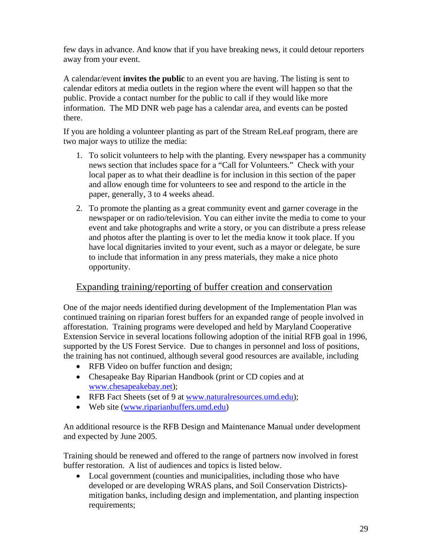few days in advance. And know that if you have breaking news, it could detour reporters away from your event.

A calendar/event **invites the public** to an event you are having. The listing is sent to calendar editors at media outlets in the region where the event will happen so that the public. Provide a contact number for the public to call if they would like more information. The MD DNR web page has a calendar area, and events can be posted there.

If you are holding a volunteer planting as part of the Stream ReLeaf program, there are two major ways to utilize the media:

- 1. To solicit volunteers to help with the planting. Every newspaper has a community news section that includes space for a "Call for Volunteers." Check with your local paper as to what their deadline is for inclusion in this section of the paper and allow enough time for volunteers to see and respond to the article in the paper, generally, 3 to 4 weeks ahead.
- 2. To promote the planting as a great community event and garner coverage in the newspaper or on radio/television. You can either invite the media to come to your event and take photographs and write a story, or you can distribute a press release and photos after the planting is over to let the media know it took place. If you have local dignitaries invited to your event, such as a mayor or delegate, be sure to include that information in any press materials, they make a nice photo opportunity.

# Expanding training/reporting of buffer creation and conservation

One of the major needs identified during development of the Implementation Plan was continued training on riparian forest buffers for an expanded range of people involved in afforestation. Training programs were developed and held by Maryland Cooperative Extension Service in several locations following adoption of the initial RFB goal in 1996, supported by the US Forest Service. Due to changes in personnel and loss of positions, the training has not continued, although several good resources are available, including

- RFB Video on buffer function and design;
- Chesapeake Bay Riparian Handbook (print or CD copies and at www.chesapeakebay.net);
- RFB Fact Sheets (set of 9 at www.naturalresources.umd.edu);
- Web site (www.riparianbuffers.umd.edu)

An additional resource is the RFB Design and Maintenance Manual under development and expected by June 2005.

Training should be renewed and offered to the range of partners now involved in forest buffer restoration. A list of audiences and topics is listed below.

• Local government (counties and municipalities, including those who have developed or are developing WRAS plans, and Soil Conservation Districts) mitigation banks, including design and implementation, and planting inspection requirements;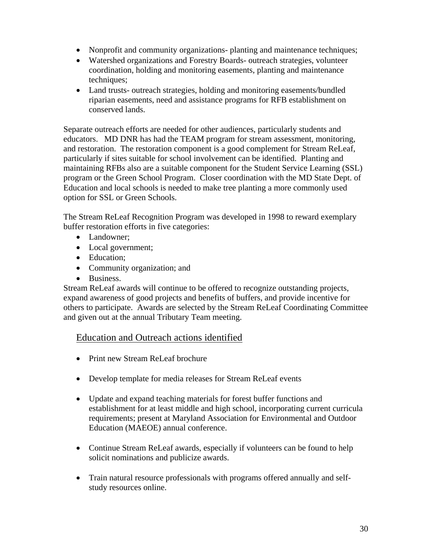- Nonprofit and community organizations- planting and maintenance techniques;
- Watershed organizations and Forestry Boards- outreach strategies, volunteer coordination, holding and monitoring easements, planting and maintenance techniques;
- Land trusts- outreach strategies, holding and monitoring easements/bundled riparian easements, need and assistance programs for RFB establishment on conserved lands.

Separate outreach efforts are needed for other audiences, particularly students and educators. MD DNR has had the TEAM program for stream assessment, monitoring, and restoration. The restoration component is a good complement for Stream ReLeaf, particularly if sites suitable for school involvement can be identified. Planting and maintaining RFBs also are a suitable component for the Student Service Learning (SSL) program or the Green School Program. Closer coordination with the MD State Dept. of Education and local schools is needed to make tree planting a more commonly used option for SSL or Green Schools.

The Stream ReLeaf Recognition Program was developed in 1998 to reward exemplary buffer restoration efforts in five categories:

- Landowner:
- Local government;
- Education:
- Community organization; and
- Business.

Stream ReLeaf awards will continue to be offered to recognize outstanding projects, expand awareness of good projects and benefits of buffers, and provide incentive for others to participate. Awards are selected by the Stream ReLeaf Coordinating Committee and given out at the annual Tributary Team meeting.

## Education and Outreach actions identified

- Print new Stream ReLeaf brochure
- Develop template for media releases for Stream ReLeaf events
- Update and expand teaching materials for forest buffer functions and establishment for at least middle and high school, incorporating current curricula requirements; present at Maryland Association for Environmental and Outdoor Education (MAEOE) annual conference.
- Continue Stream ReLeaf awards, especially if volunteers can be found to help solicit nominations and publicize awards.
- Train natural resource professionals with programs offered annually and selfstudy resources online.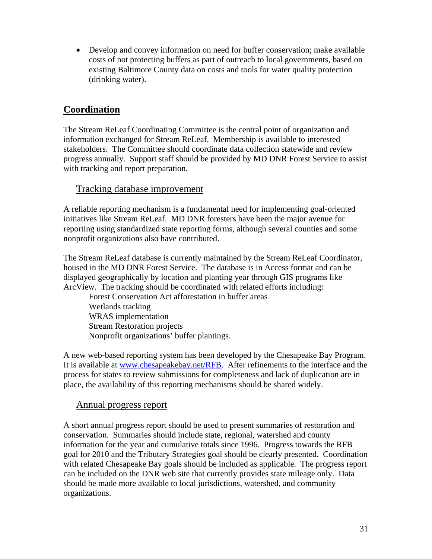• Develop and convey information on need for buffer conservation; make available costs of not protecting buffers as part of outreach to local governments, based on existing Baltimore County data on costs and tools for water quality protection (drinking water).

# **Coordination**

The Stream ReLeaf Coordinating Committee is the central point of organization and information exchanged for Stream ReLeaf. Membership is available to interested stakeholders. The Committee should coordinate data collection statewide and review progress annually. Support staff should be provided by MD DNR Forest Service to assist with tracking and report preparation.

## Tracking database improvement

A reliable reporting mechanism is a fundamental need for implementing goal-oriented initiatives like Stream ReLeaf. MD DNR foresters have been the major avenue for reporting using standardized state reporting forms, although several counties and some nonprofit organizations also have contributed.

The Stream ReLeaf database is currently maintained by the Stream ReLeaf Coordinator, housed in the MD DNR Forest Service. The database is in Access format and can be displayed geographically by location and planting year through GIS programs like ArcView. The tracking should be coordinated with related efforts including:

 Forest Conservation Act afforestation in buffer areas Wetlands tracking WRAS implementation Stream Restoration projects Nonprofit organizations' buffer plantings.

A new web-based reporting system has been developed by the Chesapeake Bay Program. It is available at www.chesapeakebay.net/RFB. After refinements to the interface and the process for states to review submissions for completeness and lack of duplication are in place, the availability of this reporting mechanisms should be shared widely.

## Annual progress report

A short annual progress report should be used to present summaries of restoration and conservation. Summaries should include state, regional, watershed and county information for the year and cumulative totals since 1996. Progress towards the RFB goal for 2010 and the Tributary Strategies goal should be clearly presented. Coordination with related Chesapeake Bay goals should be included as applicable. The progress report can be included on the DNR web site that currently provides state mileage only. Data should be made more available to local jurisdictions, watershed, and community organizations.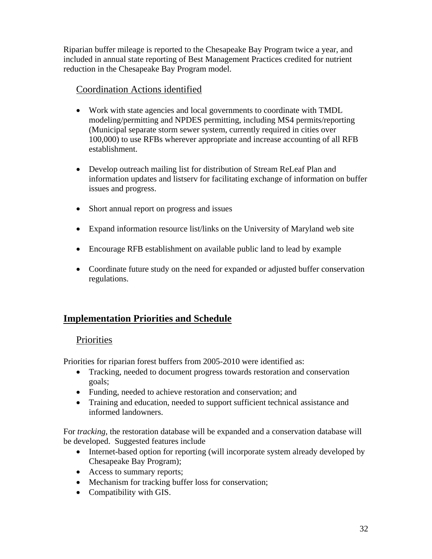Riparian buffer mileage is reported to the Chesapeake Bay Program twice a year, and included in annual state reporting of Best Management Practices credited for nutrient reduction in the Chesapeake Bay Program model.

# Coordination Actions identified

- Work with state agencies and local governments to coordinate with TMDL modeling/permitting and NPDES permitting, including MS4 permits/reporting (Municipal separate storm sewer system, currently required in cities over 100,000) to use RFBs wherever appropriate and increase accounting of all RFB establishment.
- Develop outreach mailing list for distribution of Stream ReLeaf Plan and information updates and listserv for facilitating exchange of information on buffer issues and progress.
- Short annual report on progress and issues
- Expand information resource list/links on the University of Maryland web site
- Encourage RFB establishment on available public land to lead by example
- Coordinate future study on the need for expanded or adjusted buffer conservation regulations.

# **Implementation Priorities and Schedule**

# **Priorities**

Priorities for riparian forest buffers from 2005-2010 were identified as:

- Tracking, needed to document progress towards restoration and conservation goals;
- Funding, needed to achieve restoration and conservation; and
- Training and education, needed to support sufficient technical assistance and informed landowners.

For *tracking*, the restoration database will be expanded and a conservation database will be developed. Suggested features include

- Internet-based option for reporting (will incorporate system already developed by Chesapeake Bay Program);
- Access to summary reports;
- Mechanism for tracking buffer loss for conservation;
- Compatibility with GIS.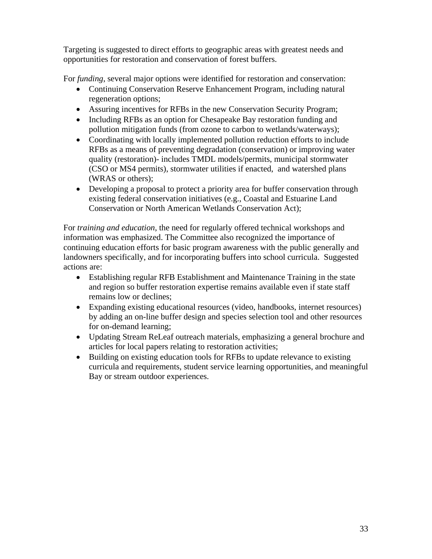Targeting is suggested to direct efforts to geographic areas with greatest needs and opportunities for restoration and conservation of forest buffers.

For *funding*, several major options were identified for restoration and conservation:

- Continuing Conservation Reserve Enhancement Program, including natural regeneration options;
- Assuring incentives for RFBs in the new Conservation Security Program;
- Including RFBs as an option for Chesapeake Bay restoration funding and pollution mitigation funds (from ozone to carbon to wetlands/waterways);
- Coordinating with locally implemented pollution reduction efforts to include RFBs as a means of preventing degradation (conservation) or improving water quality (restoration)- includes TMDL models/permits, municipal stormwater (CSO or MS4 permits), stormwater utilities if enacted, and watershed plans (WRAS or others);
- Developing a proposal to protect a priority area for buffer conservation through existing federal conservation initiatives (e.g., Coastal and Estuarine Land Conservation or North American Wetlands Conservation Act);

For *training and education*, the need for regularly offered technical workshops and information was emphasized. The Committee also recognized the importance of continuing education efforts for basic program awareness with the public generally and landowners specifically, and for incorporating buffers into school curricula. Suggested actions are:

- Establishing regular RFB Establishment and Maintenance Training in the state and region so buffer restoration expertise remains available even if state staff remains low or declines;
- Expanding existing educational resources (video, handbooks, internet resources) by adding an on-line buffer design and species selection tool and other resources for on-demand learning;
- Updating Stream ReLeaf outreach materials, emphasizing a general brochure and articles for local papers relating to restoration activities;
- Building on existing education tools for RFBs to update relevance to existing curricula and requirements, student service learning opportunities, and meaningful Bay or stream outdoor experiences.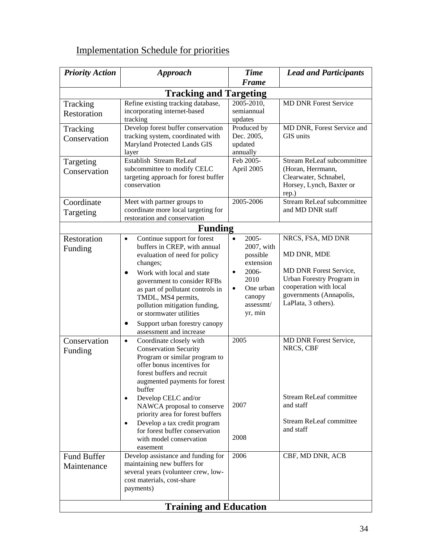# Implementation Schedule for priorities

| <b>Priority Action</b>            | <b>Approach</b>                                                                                                                                                                                                                                                                                                                                                                                                                          | <b>Time</b>                                                                                                                                                    | <b>Lead and Participants</b>                                                                                                                                                                         |  |  |  |
|-----------------------------------|------------------------------------------------------------------------------------------------------------------------------------------------------------------------------------------------------------------------------------------------------------------------------------------------------------------------------------------------------------------------------------------------------------------------------------------|----------------------------------------------------------------------------------------------------------------------------------------------------------------|------------------------------------------------------------------------------------------------------------------------------------------------------------------------------------------------------|--|--|--|
| <b>Frame</b>                      |                                                                                                                                                                                                                                                                                                                                                                                                                                          |                                                                                                                                                                |                                                                                                                                                                                                      |  |  |  |
| <b>Tracking and Targeting</b>     |                                                                                                                                                                                                                                                                                                                                                                                                                                          |                                                                                                                                                                |                                                                                                                                                                                                      |  |  |  |
| Tracking<br>Restoration           | Refine existing tracking database,<br>incorporating internet-based<br>tracking                                                                                                                                                                                                                                                                                                                                                           | 2005-2010,<br>semiannual<br>updates                                                                                                                            | <b>MD DNR Forest Service</b>                                                                                                                                                                         |  |  |  |
| Tracking<br>Conservation          | Develop forest buffer conservation<br>tracking system, coordinated with<br>Maryland Protected Lands GIS<br>layer                                                                                                                                                                                                                                                                                                                         | Produced by<br>Dec. 2005,<br>updated<br>annually                                                                                                               | MD DNR, Forest Service and<br>GIS units                                                                                                                                                              |  |  |  |
| Targeting<br>Conservation         | Establish Stream ReLeaf<br>subcommittee to modify CELC<br>targeting approach for forest buffer<br>conservation                                                                                                                                                                                                                                                                                                                           | Feb 2005-<br>April 2005                                                                                                                                        | <b>Stream ReLeaf subcommittee</b><br>(Horan, Herrmann,<br>Clearwater, Schnabel,<br>Horsey, Lynch, Baxter or<br>rep.)                                                                                 |  |  |  |
| Coordinate<br>Targeting           | Meet with partner groups to<br>coordinate more local targeting for<br>restoration and conservation                                                                                                                                                                                                                                                                                                                                       | 2005-2006                                                                                                                                                      | <b>Stream ReLeaf subcommittee</b><br>and MD DNR staff                                                                                                                                                |  |  |  |
|                                   | <b>Funding</b>                                                                                                                                                                                                                                                                                                                                                                                                                           |                                                                                                                                                                |                                                                                                                                                                                                      |  |  |  |
| Restoration<br>Funding            | Continue support for forest<br>$\bullet$<br>buffers in CREP, with annual<br>evaluation of need for policy<br>changes;<br>Work with local and state<br>$\bullet$<br>government to consider RFBs<br>as part of pollutant controls in<br>TMDL, MS4 permits,<br>pollution mitigation funding,<br>or stormwater utilities<br>Support urban forestry canopy<br>$\bullet$<br>assessment and increase                                            | $2005 -$<br>$\bullet$<br>2007, with<br>possible<br>extension<br>2006-<br>$\bullet$<br>2010<br>One urban<br>$\bullet$<br>canopy<br>assessmt/<br>yr, min<br>2005 | NRCS, FSA, MD DNR<br>MD DNR, MDE<br><b>MD DNR Forest Service,</b><br>Urban Forestry Program in<br>cooperation with local<br>governments (Annapolis,<br>LaPlata, 3 others).<br>MD DNR Forest Service, |  |  |  |
| Conservation<br>Funding           | $\bullet$<br>Coordinate closely with<br><b>Conservation Security</b><br>Program or similar program to<br>offer bonus incentives for<br>forest buffers and recruit<br>augmented payments for forest<br>buffer<br>Develop CELC and/or<br>$\bullet$<br>NAWCA proposal to conserve<br>priority area for forest buffers<br>Develop a tax credit program<br>$\bullet$<br>for forest buffer conservation<br>with model conservation<br>easement | 2007<br>2008                                                                                                                                                   | NRCS, CBF<br><b>Stream ReLeaf committee</b><br>and staff<br><b>Stream ReLeaf committee</b><br>and staff                                                                                              |  |  |  |
| <b>Fund Buffer</b><br>Maintenance | Develop assistance and funding for<br>maintaining new buffers for<br>several years (volunteer crew, low-<br>cost materials, cost-share<br>payments)                                                                                                                                                                                                                                                                                      | 2006                                                                                                                                                           | CBF, MD DNR, ACB                                                                                                                                                                                     |  |  |  |
|                                   | <b>Training and Education</b>                                                                                                                                                                                                                                                                                                                                                                                                            |                                                                                                                                                                |                                                                                                                                                                                                      |  |  |  |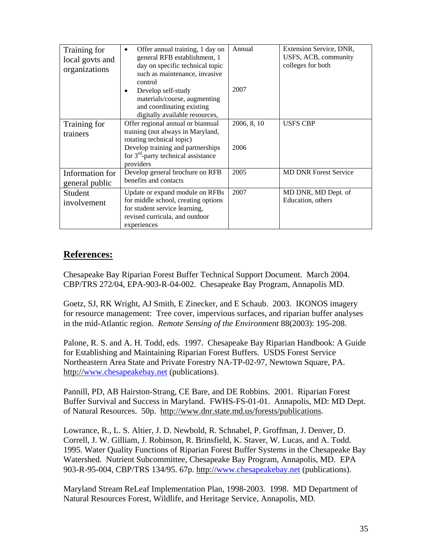| Training for<br>local govts and<br>organizations | Offer annual training, 1 day on<br>$\bullet$<br>general RFB establishment, 1<br>day on specific technical topic<br>such as maintenance, invasive<br>control | Annual      | Extension Service, DNR,<br>USFS, ACB, community<br>colleges for both |
|--------------------------------------------------|-------------------------------------------------------------------------------------------------------------------------------------------------------------|-------------|----------------------------------------------------------------------|
|                                                  | Develop self-study<br>materials/course, augmenting<br>and coordinating existing<br>digitally available resources,                                           | 2007        |                                                                      |
| Training for<br>trainers                         | Offer regional annual or biannual<br>training (not always in Maryland,<br>rotating technical topic)                                                         | 2006, 8, 10 | <b>USFS CBP</b>                                                      |
|                                                  | Develop training and partnerships<br>for $3rd$ -party technical assistance<br>providers                                                                     | 2006        |                                                                      |
| Information for<br>general public                | Develop general brochure on RFB<br>benefits and contacts                                                                                                    | 2005        | <b>MD DNR Forest Service</b>                                         |
| Student<br>involvement                           | Update or expand module on RFBs<br>for middle school, creating options<br>for student service learning,<br>revised curricula, and outdoor<br>experiences    | 2007        | MD DNR, MD Dept. of<br>Education, others                             |

## **References:**

Chesapeake Bay Riparian Forest Buffer Technical Support Document. March 2004. CBP/TRS 272/04, EPA-903-R-04-002. Chesapeake Bay Program, Annapolis MD.

Goetz, SJ, RK Wright, AJ Smith, E Zinecker, and E Schaub. 2003. IKONOS imagery for resource management: Tree cover, impervious surfaces, and riparian buffer analyses in the mid-Atlantic region. *Remote Sensing of the Environment* 88(2003): 195-208.

Palone, R. S. and A. H. Todd, eds. 1997. Chesapeake Bay Riparian Handbook: A Guide for Establishing and Maintaining Riparian Forest Buffers. USDS Forest Service Northeastern Area State and Private Forestry NA-TP-02-97, Newtown Square, PA. http://www.chesapeakebay.net (publications).

Pannill, PD, AB Hairston-Strang, CE Bare, and DE Robbins. 2001. Riparian Forest Buffer Survival and Success in Maryland. FWHS-FS-01-01. Annapolis, MD: MD Dept. of Natural Resources. 50p. http://www.dnr.state.md.us/forests/publications.

Lowrance, R., L. S. Altier, J. D. Newbold, R. Schnabel, P. Groffman, J. Denver, D. Correll, J. W. Gilliam, J. Robinson, R. Brinsfield, K. Staver, W. Lucas, and A. Todd. 1995. Water Quality Functions of Riparian Forest Buffer Systems in the Chesapeake Bay Watershed. Nutrient Subcommittee, Chesapeake Bay Program, Annapolis, MD. EPA 903-R-95-004, CBP/TRS 134/95. 67p. http://www.chesapeakebay.net (publications).

Maryland Stream ReLeaf Implementation Plan, 1998-2003. 1998. MD Department of Natural Resources Forest, Wildlife, and Heritage Service, Annapolis, MD.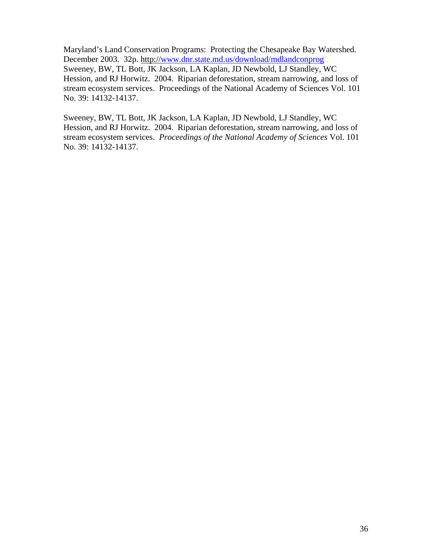Maryland's Land Conservation Programs: Protecting the Chesapeake Bay Watershed. December 2003. 32p. http://www.dnr.state.md.us/download/mdlandconprog Sweeney, BW, TL Bott, JK Jackson, LA Kaplan, JD Newbold, LJ Standley, WC Hession, and RJ Horwitz. 2004. Riparian deforestation, stream narrowing, and loss of stream ecosystem services. Proceedings of the National Academy of Sciences Vol. 101 No. 39: 14132-14137.

Sweeney, BW, TL Bott, JK Jackson, LA Kaplan, JD Newbold, LJ Standley, WC Hession, and RJ Horwitz. 2004. Riparian deforestation, stream narrowing, and loss of stream ecosystem services. *Proceedings of the National Academy of Sciences* Vol. 101 No. 39: 14132-14137.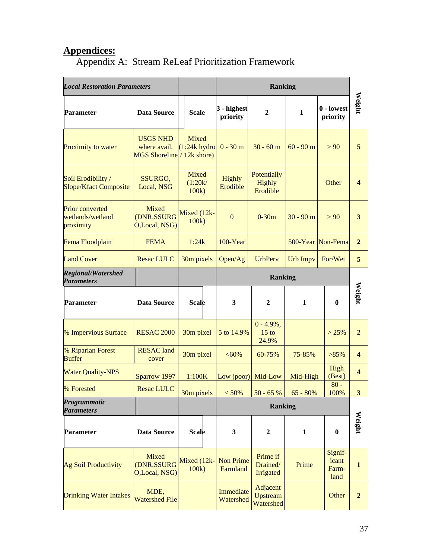# **Appendices:**

# Appendix A: Stream ReLeaf Prioritization Framework

| <b>Local Restoration Parameters</b>                     |                                                               |                                  |  | <b>Ranking</b>               |                                   |                 |                                   |                         |
|---------------------------------------------------------|---------------------------------------------------------------|----------------------------------|--|------------------------------|-----------------------------------|-----------------|-----------------------------------|-------------------------|
| <b>Data Source</b><br><b>Parameter</b>                  |                                                               | <b>Scale</b>                     |  | 3 - highest<br>priority      | $\overline{2}$                    | $\mathbf{1}$    | 0 - lowest<br>priority            | Weight                  |
| Proximity to water                                      | <b>USGS NHD</b><br>where avail.<br>MGS Shoreline / 12k shore) | Mixed<br>$(1:24k$ hydro          |  | $0 - 30$ m                   | $30 - 60$ m                       | $60 - 90$ m     | > 90                              | 5                       |
| Soil Erodibility /<br><b>Slope/Kfact Composite</b>      | SSURGO,<br>Local, NSG                                         | <b>Mixed</b><br>(1:20k/<br>100k) |  | Highly<br>Erodible           | Potentially<br>Highly<br>Erodible |                 | Other                             | $\boldsymbol{4}$        |
| <b>Prior converted</b><br>wetlands/wetland<br>proximity | Mixed<br>(DNR,SSURG<br>O,Local, NSG)                          | Mixed (12k-<br>100k              |  | $\mathbf{0}$                 | $0-30m$                           | $30 - 90$ m     | > 90                              | $\mathbf{3}$            |
| Fema Floodplain                                         | <b>FEMA</b>                                                   | 1:24k                            |  | $100 - Year$                 |                                   |                 | 500-Year Non-Fema                 | $\mathbf{2}$            |
| <b>Land Cover</b>                                       | <b>Resac LULC</b>                                             | 30m pixels                       |  | Open/Ag                      | <b>UrbPerv</b>                    | <b>Urb Impv</b> | For/Wet                           | 5                       |
| <b>Regional/Watershed</b><br><b>Parameters</b>          |                                                               |                                  |  |                              | <b>Ranking</b>                    |                 |                                   |                         |
| <b>Parameter</b>                                        | <b>Data Source</b>                                            | <b>Scale</b>                     |  | 3                            | $\mathbf{2}$                      | $\mathbf{1}$    | $\bf{0}$                          | Weight                  |
| <b>% Impervious Surface</b>                             | <b>RESAC 2000</b>                                             | 30m pixel                        |  | 5 to 14.9%                   | $0 - 4.9\%,$<br>$15$ to<br>24.9%  |                 | > 25%                             | $\overline{2}$          |
| % Riparian Forest<br><b>Buffer</b>                      | <b>RESAC</b> land<br>cover                                    | 30m pixel                        |  | $<60\%$                      | 60-75%                            | 75-85%          | $>85\%$                           | $\overline{\mathbf{4}}$ |
| <b>Water Quality-NPS</b>                                | Sparrow 1997                                                  | 1:100K                           |  | Low (poor)                   | Mid-Low                           | Mid-High        | High<br>(Best)                    | $\overline{\mathbf{4}}$ |
| % Forested                                              | <b>Resac LULC</b>                                             | $30m$ pixels $\sim 50\%$         |  |                              | $50 - 65 %$                       | $65 - 80%$      | $80 -$<br>100%                    | 3 <sup>1</sup>          |
| Programmatic<br><b>Parameters</b>                       |                                                               | <b>Ranking</b>                   |  |                              |                                   |                 |                                   |                         |
| Parameter                                               | <b>Data Source</b>                                            | <b>Scale</b>                     |  | 3                            | $\boldsymbol{2}$                  | $\mathbf{1}$    | $\bf{0}$                          | Weight                  |
| <b>Ag Soil Productivity</b>                             | Mixed<br>(DNR,SSURG<br>O,Local, NSG)                          | Mixed (12k-<br>100k              |  | <b>Non Prime</b><br>Farmland | Prime if<br>Drained/<br>Irrigated | Prime           | Signif-<br>icant<br>Farm-<br>land | $\mathbf{1}$            |
| <b>Drinking Water Intakes</b>                           | MDE,<br><b>Watershed File</b>                                 |                                  |  | Immediate<br>Watershed       | Adjacent<br>Upstream<br>Watershed |                 | Other                             | $\overline{2}$          |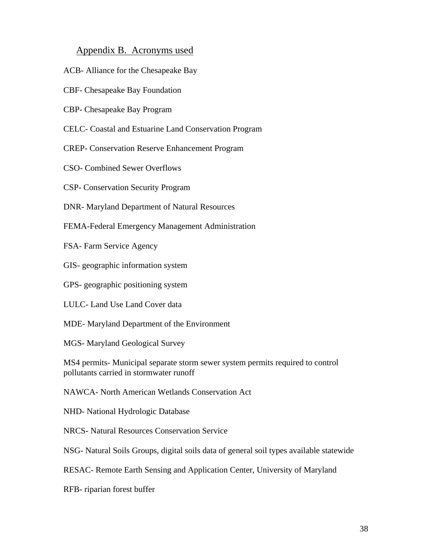#### Appendix B. Acronyms used

- ACB- Alliance for the Chesapeake Bay
- CBF- Chesapeake Bay Foundation
- CBP- Chesapeake Bay Program
- CELC- Coastal and Estuarine Land Conservation Program
- CREP- Conservation Reserve Enhancement Program
- CSO- Combined Sewer Overflows
- CSP- Conservation Security Program
- DNR- Maryland Department of Natural Resources
- FEMA-Federal Emergency Management Administration
- FSA- Farm Service Agency
- GIS- geographic information system
- GPS- geographic positioning system
- LULC- Land Use Land Cover data
- MDE- Maryland Department of the Environment
- MGS- Maryland Geological Survey
- MS4 permits- Municipal separate storm sewer system permits required to control pollutants carried in stormwater runoff
- NAWCA- North American Wetlands Conservation Act
- NHD- National Hydrologic Database
- NRCS- Natural Resources Conservation Service
- NSG- Natural Soils Groups, digital soils data of general soil types available statewide
- RESAC- Remote Earth Sensing and Application Center, University of Maryland
- RFB- riparian forest buffer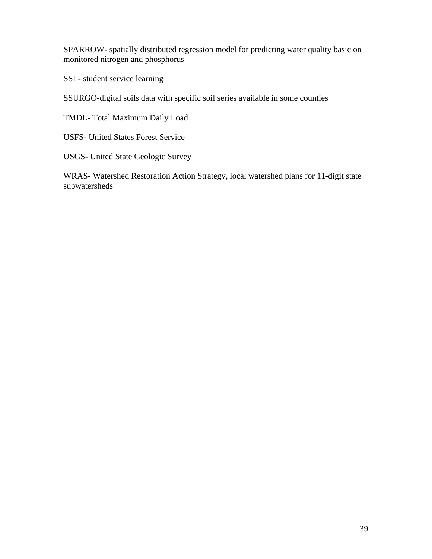SPARROW- spatially distributed regression model for predicting water quality basic on monitored nitrogen and phosphorus

SSL- student service learning

SSURGO-digital soils data with specific soil series available in some counties

TMDL- Total Maximum Daily Load

USFS- United States Forest Service

USGS- United State Geologic Survey

WRAS- Watershed Restoration Action Strategy, local watershed plans for 11-digit state subwatersheds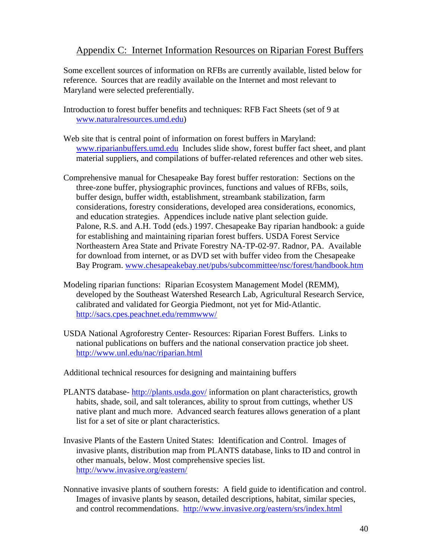## Appendix C: Internet Information Resources on Riparian Forest Buffers

Some excellent sources of information on RFBs are currently available, listed below for reference. Sources that are readily available on the Internet and most relevant to Maryland were selected preferentially.

- Introduction to forest buffer benefits and techniques: RFB Fact Sheets (set of 9 at www.naturalresources.umd.edu)
- Web site that is central point of information on forest buffers in Maryland: www.riparianbuffers.umd.edu Includes slide show, forest buffer fact sheet, and plant material suppliers, and compilations of buffer-related references and other web sites.
- Comprehensive manual for Chesapeake Bay forest buffer restoration: Sections on the three-zone buffer, physiographic provinces, functions and values of RFBs, soils, buffer design, buffer width, establishment, streambank stabilization, farm considerations, forestry considerations, developed area considerations, economics, and education strategies. Appendices include native plant selection guide. Palone, R.S. and A.H. Todd (eds.) 1997. Chesapeake Bay riparian handbook: a guide for establishing and maintaining riparian forest buffers. USDA Forest Service Northeastern Area State and Private Forestry NA-TP-02-97. Radnor, PA. Available for download from internet, or as DVD set with buffer video from the Chesapeake Bay Program. www.chesapeakebay.net/pubs/subcommittee/nsc/forest/handbook.htm
- Modeling riparian functions: Riparian Ecosystem Management Model (REMM), developed by the Southeast Watershed Research Lab, Agricultural Research Service, calibrated and validated for Georgia Piedmont, not yet for Mid-Atlantic. http://sacs.cpes.peachnet.edu/remmwww/
- USDA National Agroforestry Center- Resources: Riparian Forest Buffers. Links to national publications on buffers and the national conservation practice job sheet. http://www.unl.edu/nac/riparian.html

Additional technical resources for designing and maintaining buffers

- PLANTS database- http://plants.usda.gov/ information on plant characteristics, growth habits, shade, soil, and salt tolerances, ability to sprout from cuttings, whether US native plant and much more. Advanced search features allows generation of a plant list for a set of site or plant characteristics.
- Invasive Plants of the Eastern United States: Identification and Control. Images of invasive plants, distribution map from PLANTS database, links to ID and control in other manuals, below. Most comprehensive species list. http://www.invasive.org/eastern/
- Nonnative invasive plants of southern forests: A field guide to identification and control. Images of invasive plants by season, detailed descriptions, habitat, similar species, and control recommendations. http://www.invasive.org/eastern/srs/index.html